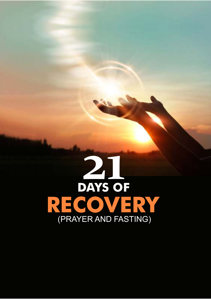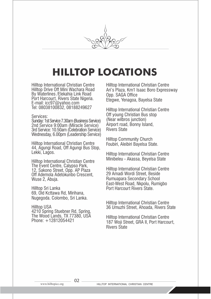

# **HILLTOP LOCATIONS**

Hilltop International Christian Centre Hilltop Drive Off Mini Wachara Road By Waterlines /Elekahia Link Road Port Harcourt, Rivers State Nigeria. E-mail: icc97@yahoo.com Tel: 08038100832, 08188249627

#### Services:

Sunday: 1st Service 7.30am (Business Service) 2nd Service 9:00am (Miracle Service) 3rd Service: 10.50am (Celebration Service) Wednesday, 6.00pm (Leadership Service)

Hilltop International Christian Centre 44, Agungi Road, Off Agungi Bus Stop, Lekki, Lagos.

Hilltop International Christian Centre The Event Centre, Calypso Park, 12, Sakono Street, Opp. AP Plaza Off Ademola Adetokunbo Crescent, Wuse 2, Abuja.

Hilltop Sri Lanka 69, Old Kcttawa Rd, Mirihana, Nugegoda. Colombo, Sri Lanka.

Hilltop USA 4210 Spring Stuebner Rd, Spring, The Wood Lands, TX 77380, USA Phone: +12812054421

Hilltop International Christian Centre Ari's Plaza, Km1 Isaac Boro Expressway Opp. SAGA Office Etegwe, Yenagoa, Bayelsa State

Hilltop International Christian Centre Off young Christian Bus stop (Near wilbros junction) Airport road, Bonny Island, Rivers State

Hilltop Community Church Foubiri, Aleibiri Bayelsa State.

Hilltop International Christian Centre Minibeleu - Akassa, Beyelsa State

Hilltop International Christian Centre 29 Amadi Wordi Street, Beside Rumuapara Secondary School East-West Road, Nkpolu, Rumigbo Port Harcourt Rivers State.

Hilltop International Christian Centre 36 Umuzhi Street, Ahoada, Rivers State

Hilltop International Christian Centre 187 Woji Street, GRA II, Port Harcourt, Rivers State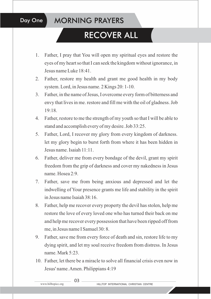## MORNING PRAYERS

# RECOVER ALL

- 1. Father, I pray that You will open my spiritual eyes and restore the eyes of my heart so that I can seek the kingdom without ignorance, in Jesus name Luke 18:41.
- 2. Father, restore my health and grant me good health in my body system. Lord, in Jesus name. 2 Kings 20: 1-10.
- 3. Father, in the name of Jesus, I overcome every form of bitterness and envy that lives in me. restore and fill me with the oil of gladness. Job 19:18.
- 4. Father, restore to me the strength of my youth so that I will be able to stand and accomplish every of my desire. Job 33:25.
- 5. Father, Lord, I recover my glory from every kingdom of darkness. let my glory begin to burst forth from where it has been hidden in Jesus name. Isaiah 11:11.
- 6. Father, deliver me from every bondage of the devil, grant my spirit freedom from the grip of darkness and cover my nakedness in Jesus name. Hosea 2:9.
- 7. Father, save me from being anxious and depressed and let the indwelling of Your presence grants me life and stability in the spirit in Jesus name Isaiah 38:16.
- 8. Father, help me recover every property the devil has stolen, help me restore the love of every loved one who has turned their back on me and help me recover every possession that have been ripped off from me, in Jesus name I Samuel 30: 8.
- 9. Father, save me from every force of death and sin, restore life to my dying spirit, and let my soul receive freedom from distress. In Jesus name. Mark 5:23.
- 10. Father, let there be a miracle to solve all financial crisis even now in Jesus' name. Amen. Philippians 4:19

 $-03$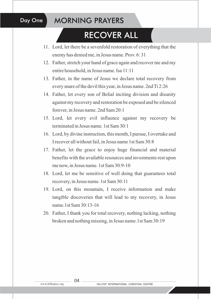## MORNING PRAYERS

# RECOVER ALL

- 11. Lord, let there be a sevenfold restoration of everything that the enemy has denied me, in Jesus name. Prov. 6: 31
- 12. Father, stretch your hand of grace again and recover me and my entire household, in Jesus name. Isa 11:11
- 13. Father, in the name of Jesus we declare total recovery from every snare of the devil this year, in Jesus name. 2nd Ti 2:26
- 14. Father, let every son of Belial inciting division and disunity against my recovery and restoration be exposed and be silenced forever, in Jesus name. 2nd Sam 20:1
- 15. Lord, let every evil influence against my recovery be terminated in Jesus name. 1st Sam 30:1
- 16. Lord, by divine instruction, this month, I pursue, I overtake and I recover all without fail, in Jesus name 1st Sam 30:8
- 17. Father, let the grace to enjoy huge financial and material benefits with the available resources and investments rest upon me now, in Jesus name. 1st Sam 30:9-10
- 18. Lord, let me be sensitive of well doing that guarantees total recovery, in Jesus name. 1st Sam 30:11
- 19. Lord, on this mountain, I receive information and make tangible discoveries that will lead to my recovery, in Jesus name.1st Sam 30:13-16
- 20. Father, I thank you for total recovery, nothing lacking, nothing broken and nothing missing, in Jesus name.1st Sam 30:19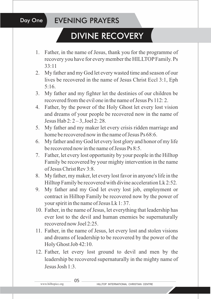EVENING PRAYERS

# DIVINE RECOVERY

- 1. Father, in the name of Jesus, thank you for the programme of recovery you have for every member the HILLTOP Family. Ps  $33 \cdot 11$
- 2. My father and my God let every wasted time and season of our lives be recovered in the name of Jesus Christ Eccl 3:1, Eph  $5.16$
- 3. My father and my fighter let the destinies of our children be recovered from the evil one in the name of Jesus Ps 112: 2.
- 4. Father, by the power of the Holy Ghost let every lost vision and dreams of your people be recovered now in the name of Jesus Hab 2: 2 – 3, Joel 2: 28.
- 5. My father and my maker let every crisis ridden marriage and home be recovered now in the name of Jesus Ps 68:6.
- 6. My father and my God let every lost glory and honor of my life be recovered now in the name of Jesus Ps 8:5.
- 7. Father, let every lost opportunity by your people in the Hilltop Family be recovered by your mighty intervention in the name of Jesus Christ Rev 3:8.
- 8. My father, my maker, let every lost favor in anyone's life in the Hilltop Family be recovered with divine acceleration Lk 2:52.
- 9. My father and my God let every lost job, employment or contract in Hilltop Family be recovered now by the power of your spirit in the name of Jesus Lk 1: 37.
- 10. Father, in the name of Jesus, let everything that leadership has ever lost to the devil and human enemies be supernaturally recovered now Joel 2:25.
- 11. Father, in the name of Jesus, let every lost and stolen visions and dreams of leadership to be recovered by the power of the Holy Ghost Job 42:10.
- 12. Father, let every lost ground to devil and men by the leadership be recovered supernaturally in the mighty name of Jesus Josh 1:3.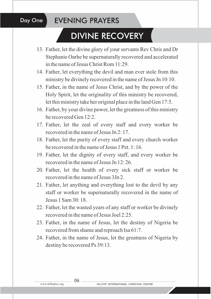## EVENING PRAYERS

# DIVINE RECOVERY

- 13. Father, let the divine glory of your servants Rev Chris and Dr Stephanie Oarhe be supernaturally recovered and accelerated in the name of Jesus Christ Rom 11:29.
- 14. Father, let everything the devil and man ever stole from this ministry be divinely recovered in the name of Jesus Jn 10:10.
- 15. Father, in the name of Jesus Christ, and by the power of the Holy Spirit, let the originality of this ministry be recovered, let this ministry take her original place in the land Gen 17:5.
- 16. Father, by your divine power, let the greatness of this ministry be recovered Gen 12:2.
- 17. Father, let the zeal of every staff and every worker be recovered in the name of Jesus Jn 2: 17.
- 18. Father, let the purity of every staff and every church worker be recovered in the name of Jesus 1 Pet. 1: 16.
- 19. Father, let the dignity of every staff, and every worker be recovered in the name of Jesus Jn 12: 26.
- 20. Father, let the health of every sick staff or worker be recovered in the name of Jesus 3Jn 2.
- 21. Father, let anything and everything lost to the devil by any staff or worker be supernaturally recovered in the name of Jesus 1 Sam  $30 \cdot 18$ .
- 22. Father, let the wasted years of any staff or worker be divinely recovered in the name of Jesus Joel 2:25.
- 23. Father, in the name of Jesus, let the destiny of Nigeria be recovered from shame and reproach Isa 61:7.
- 24. Father, in the name of Jesus, let the greatness of Nigeria by destiny be recovered Ps 39:13.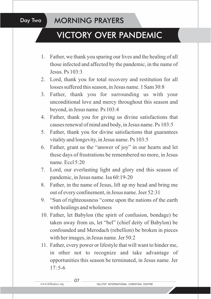## MORNING PRAYERS

# VICTORY OVER PANDEMIC

- 1. Father, we thank you sparing our lives and the healing of all those infected and affected by the pandemic, in the name of Jesus. Ps 103:3
- 2. Lord, thank you for total recovery and restitution for all losses suffered this season, in Jesus name. 1 Sam 30:8
- 3. Father, thank you for surrounding us with your unconditional love and mercy throughout this season and beyond, in Jesus name. Ps 103:4
- 4. Father, thank you for giving us divine satisfactions that causes renewal of mind and body, in Jesus name. Ps 103:5
- 5. Father, thank you for divine satisfactions that guarantees vitality and longevity, in Jesus name. Ps 103:5
- 6. Father, grant us the "answer of joy" in our hearts and let these days of frustrations be remembered no more, in Jesus name. Eccl 5:20
- 7. Lord, our everlasting light and glory end this season of pandemic, in Jesus name. Isa 60:19-20
- 8. Father, in the name of Jesus, lift up my head and bring me out of every confinement, in Jesus name. Jeer 52:31
- 9. "Sun of righteousness "come upon the nations of the earth with healings and wholeness
- 10. Father, let Babylon (the spirit of confusion, bondage) be taken away from us, let "bel" (chief deity of Babylon) be confounded and Merodach (rebellion) be broken in pieces with her images, in Jesus name. Jer 50:2
- 11. Father, every power or lifestyle that will want to hinder me, in other not to recognize and take advantage of opportunities this season be terminated, in Jesus name. Jer  $17.5 - 6$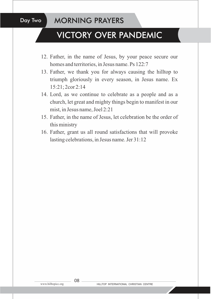## MORNING PRAYERS

# VICTORY OVER PANDEMIC

- 12. Father, in the name of Jesus, by your peace secure our homes and territories, in Jesus name. Ps 122:7
- 13. Father, we thank you for always causing the hilltop to triumph gloriously in every season, in Jesus name. Ex 15:21; 2cor 2:14
- 14. Lord, as we continue to celebrate as a people and as a church, let great and mighty things begin to manifest in our mist, in Jesus name, Joel 2:21
- 15. Father, in the name of Jesus, let celebration be the order of this ministry
- 16. Father, grant us all round satisfactions that will provoke lasting celebrations, in Jesus name. Jer 31:12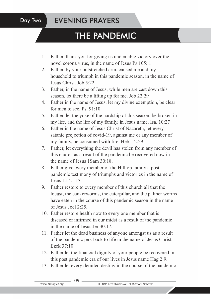## EVENING PRAYERS

# THE PANDEMIC

- 1. Father, thank you for giving us undeniable victory over the novel corona virus, in the name of Jesus Ps 105: 1
- 2. Father, by your outstretched arm, caused me and my household to triumph in this pandemic season, in the name of Jesus Christ. Job 5:22
- 3. Father, in the name of Jesus, while men are cast down this season, let there be a lifting up for me. Job 22:29
- 4. Father in the name of Jesus, let my divine exemption, be clear for men to see. Ps. 91:10
- 5. Father, let the yoke of the hardship of this season, be broken in my life, and the life of my family, in Jesus name. Isa. 10:27
- 6. Father in the name of Jesus Christ of Nazareth, let every satanic projection of covid-19, against me or any member of my family, be consumed with fire. Heb. 12:29
- 7. Father, let everything the devil has stolen from any member of this church as a result of the pandemic be recovered now in the name of Jesus 1Sam 30:18.
- 8. Father give every member of the Hilltop family a post pandemic testimony of triumphs and victories in the name of Jesus Lk 21:13.
- 9. Father restore to every member of this church all that the locust, the cankerworms, the caterpillar, and the palmer worms have eaten in the course of this pandemic season in the name of Jesus Joel 2:25.
- 10. Father restore health now to every one member that is diseased or infirmed in our midst as a result of the pandemic in the name of Jesus Jer 30:17.
- 11. Father let the dead business of anyone amongst us as a result of the pandemic jerk back to life in the name of Jesus Christ Ezek 37:10
- 12. Father let the financial dignity of your people be recovered in this post pandemic era of our lives in Jesus name Hag 2:9.
- 13. Father let every derailed destiny in the course of the pandemic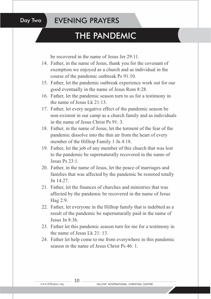## EVENING PRAYERS

# THE PANDEMIC

be recovered in the name of Jesus Jer 29:11.

- 14. Father, in the name of Jesus, thank you for the covenant of exemption we enjoyed as a church and as individual in the course of the pandemic outbreak Ps 91:10.
- 15. Father, let the pandemic outbreak experience work out for our good eventually in the name of Jesus Rom 8:28.
- 16. Father, let the pandemic season turn to us for a testimony in the name of Jesus Lk  $21:13$ .
- 17. Father, let every negative effect of the pandemic season be non-existent in our camp as a church family and as individuals in the name of Jesus Christ Ps  $91 \cdot 3$ .
- 18. Father, in the name of Jesus, let the torment of the fear of the pandemic dissolve into the thin air from the heart of every member of the Hilltop Family 1 Jn 4:18.
- 19. Father, let the job of any member of this church that was lost to the pandemic be supernaturally recovered in the name of Jesus Ps 23:1.
- 20. Father, in the name of Jesus, let the peace of marriages and families that was affected by the pandemic be restored totally In  $14.27$
- 21. Father, let the finances of churches and ministries that was affected by the pandemic be recovered in the name of Jesus Hag 2:9.
- 22. Father, let everyone in the Hilltop family that is indebted as a result of the pandemic be supernaturally paid in the name of Jesus Jn 8:36.
- 23. Father let this pandemic season turn for me for a testimony in the name of Jesus Lk 21: 13.
- 24. Father let help come to me from everywhere in this pandemic season in the name of Jesus Christ Ps 46: 1.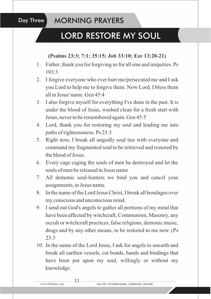## MORNING PRAYERS

Day Three

# LORD RESTORE MY SOUL

#### **(Psalms 23:3; 7:1; 35:15; Job 33:10; Eze 13:20-21)**

- 1. Father, thank you for forgiving us for all sins and iniquities. Ps  $103.3$
- 2. I forgive everyone who ever hurt me/persecuted me and I ask you Lord to help me to forgive them. Now Lord, I bless them all in Jesus' name. Gen 45:4
- 3. I also forgive myself for everything I've done in the past. It is under the blood of Jesus, washed clean for a fresh start with Jesus, never to be remembered again. Gen 45:5
- 4. Lord, thank you for restoring my soul and leading me into paths of righteousness. Ps 23:3
- 5. Right now, I break all ungodly soul ties with everyone and command my fragmented soul to be retrieved and restored by the blood of Jesus.
- 6. Every cage caging the souls of men be destroyed and let the souls of men be released in Jesus name
- 7. All demonic soul-hunters we bind you and cancel your assignments, in Jesus name.
- 8. In the name of the Lord Jesus Christ, I break all bondages over my conscious and unconscious mind.
- 9. I send out God's angels to gather all portions of my mind that have been affected by witchcraft, Communism, Masonry, any occult or witchcraft practices, false religions, demonic music, drugs and by any other means, to be restored to me now. (Ps  $23.3$
- 10. In the name of the Lord Jesus, I ask for angels to unearth and break all earthen vessels, cut bonds, bands and bindings that have been put upon my soul, willingly or without my knowledge.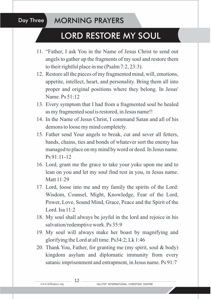#### Day Three MORNING PRAYERS

# LORD RESTORE MY SOUL

- 11. "Father, I ask You in the Name of Jesus Christ to send out angels to gather up the fragments of my soul and restore them to their rightful place in me (Psalm 7:2, 23:3).
- 12. Restore all the pieces of my fragmented mind, will, emotions, appetite, intellect, heart, and personality. Bring them all into proper and original positions where they belong. In Jesus' Name. Ps 51:12
- 13. Every symptom that I had from a fragmented soul be healed as my fragmented soul is restored, in Jesus name!!
- 14. In the Name of Jesus Christ, I command Satan and all of his demons to loose my mind completely.
- 15. Father send Your angels to break, cut and sever all fetters, bands, chains, ties and bonds of whatever sort the enemy has managed to place on my mind by word or deed. In Jesus name. Ps 91:11-12
- 16. Lord, grant me the grace to take your yoke upon me and to lean on you and let my soul find rest in you, in Jesus name. Matt 11:29
- 17. Lord, loose into me and my family the spirits of the Lord: Wisdom, Counsel, Might, Knowledge, Fear of the Lord, Power, Love, Sound Mind, Grace, Peace and the Spirit of the Lord. Isa 11:2
- 18. My soul shall always be joyful in the lord and rejoice in his salvation/redemptive work. Ps 35:9
- 19. My soul will always make her boast by magnifying and glorifying the Lord at all time. Ps34:2; Lk 1:46
- 20. Thank You, Father, for granting me (my spirit, soul & body) kingdom asylum and diplomatic immunity from every satanic imprisonment and entrapment, in Jesus name. Ps 91:7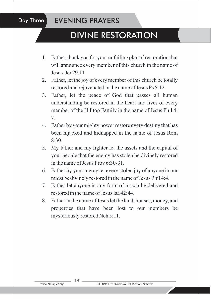#### Day Three EVENING PRAYERS

# DIVINE RESTORATION

- 1. Father, thank you for your unfailing plan of restoration that will announce every member of this church in the name of Jesus. Jer 29:11
- 2. Father, let the joy of every member of this church be totally restored and rejuvenated in the name of Jesus Ps 5:12.
- 3. Father, let the peace of God that passes all human understanding be restored in the heart and lives of every member of the Hilltop Family in the name of Jesus Phil 4: 7.
- 4. Father by your mighty power restore every destiny that has been hijacked and kidnapped in the name of Jesus Rom 8:30.
- 5. My father and my fighter let the assets and the capital of your people that the enemy has stolen be divinely restored in the name of Jesus Prov 6:30-31.
- 6. Father by your mercy let every stolen joy of anyone in our midst be divinely restored in the name of Jesus Phil 4:4.
- 7. Father let anyone in any form of prison be delivered and restored in the name of Jesus Isa 42:44.
- 8. Father in the name of Jesus let the land, houses, money, and properties that have been lost to our members be mysteriously restored Neh 5:11.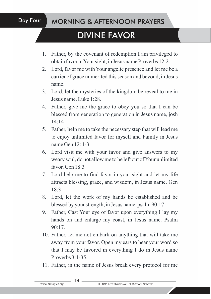### Day Four

# DIVINE FAVOR

- 1. Father, by the covenant of redemption I am privileged to obtain favor in Your sight, in Jesus name Proverbs 12:2.
- 2. Lord, favor me with Your angelic presence and let me be a carrier of grace unmerited this season and beyond, in Jesus name.
- 3. Lord, let the mysteries of the kingdom be reveal to me in Jesus name. Luke 1:28.
- 4. Father, give me the grace to obey you so that I can be blessed from generation to generation in Jesus name, josh  $14.14$
- 5. Father, help me to take the necessary step that will lead me to enjoy unlimited favor for myself and Family in Jesus name Gen  $12:1-3$ .
- 6. Lord visit me with your favor and give answers to my weary soul, do not allow me to be left out of Your unlimited favor. Gen 18:3
- 7. Lord help me to find favor in your sight and let my life attracts blessing, grace, and wisdom, in Jesus name. Gen  $18.3$
- 8. Lord, let the work of my hands be established and be blessed by your strength, in Jesus name. psalm 90:17
- 9. Father, Cast Your eye of favor upon everything I lay my hands on and enlarge my coast, in Jesus name. Psalm  $90 \cdot 17$
- 10. Father, let me not embark on anything that will take me away from your favor. Open my ears to hear your word so that I may be favored in everything I do in Jesus name Proverbs 3:1-35
- 11. Father, in the name of Jesus break every protocol for me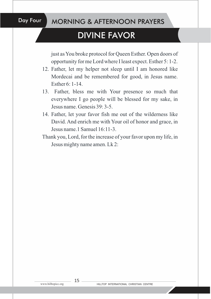#### Day Four

# DIVINE FAVOR

just as You broke protocol for Queen Esther. Open doors of opportunity for me Lord where I least expect. Esther 5: 1-2.

- 12. Father, let my helper not sleep until I am honored like Mordecai and be remembered for good, in Jesus name. Esther 6: 1-14.
- 13. Father, bless me with Your presence so much that everywhere I go people will be blessed for my sake, in Jesus name. Genesis 39: 3-5.
- 14. Father, let your favor fish me out of the wilderness like David. And enrich me with Your oil of honor and grace, in Jesus name.1 Samuel 16:11-3.
- Thank you, Lord, for the increase of your favor upon my life, in Jesus mighty name amen. Lk 2: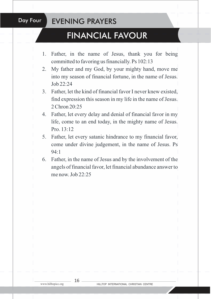### Day Four

## EVENING PRAYERS

## FINANCIAL FAVOUR

- 1. Father, in the name of Jesus, thank you for being committed to favoring us financially. Ps 102:13
- 2. My father and my God, by your mighty hand, move me into my season of financial fortune, in the name of Jesus.  $J$ ob 22:24
- 3. Father, let the kind of financial favor I never knew existed, find expression this season in my life in the name of Jesus. 2 Chron 20:25
- 4. Father, let every delay and denial of financial favor in my life, come to an end today, in the mighty name of Jesus. Pro. 13:12
- 5. Father, let every satanic hindrance to my financial favor, come under divine judgement, in the name of Jesus. Ps 94:1
- 6. Father, in the name of Jesus and by the involvement of the angels of financial favor, let financial abundance answer to me now. Job  $22.25$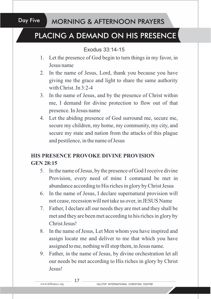#### Day Five

## PLACING A DEMAND ON HIS PRESENCE

#### Exodus 33:14-15

- 1. Let the presence of God begin to turn things in my favor, in Jesus name
- 2. In the name of Jesus, Lord, thank you because you have giving me the grace and light to share the same authority with Christ. Jn 3:2-4
- 3. In the name of Jesus, and by the presence of Christ within me, I demand for divine protection to flow out of that presence. In Jesus name
- 4. Let the abiding presence of God surround me, secure me, secure my children, my home, my community, my city, and secure my state and nation from the attacks of this plague and pestilence, in the name of Jesus

### **HIS PRESENCE PROVOKE DIVINE PROVISION GEN 28:15**

- 5. In the name of Jesus, by the presence of God I receive divine Provision, every need of mine I command be met in abundance according to His riches in glory by Christ Jesus
- 6. In the name of Jesus, I declare supernatural provision will not cease, recession will not take us over, in JESUS Name
- 7. Father, I declare all our needs they are met and they shall be met and they are been met according to his riches in glory by Christ Jesus!
- 8. In the name of Jesus, Let Men whom you have inspired and assign locate me and deliver to me that which you have assigned to me, nothing will stop them, in Jesus name.
- 9. Father, in the name of Jesus, by divine orchestration let all our needs be met according to His riches in glory by Christ Jesus!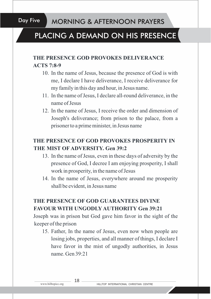#### Day Five

## PLACING A DEMAND ON HIS PRESENCE

#### **THE PRESENCE GOD PROVOKES DELIVERANCE ACTS 7:8-9**

- 10. In the name of Jesus, because the presence of God is with me, I declare I have deliverance, I receive deliverance for my family in this day and hour, in Jesus name.
- 11. In the name of Jesus, I declare all-round deliverance, in the name of Jesus
- 12. In the name of Jesus, I receive the order and dimension of Joseph's deliverance; from prison to the palace, from a prisoner to a prime minister, in Jesus name

### **THE PRESENCE OF GOD PROVOKES PROSPERITY IN THE MIST OF ADVERSITY. Gen 39:2**

- 13. In the name of Jesus, even in these days of adversity by the presence of God, I decree I am enjoying prosperity, I shall work in prosperity, in the name of Jesus
- 14. In the name of Jesus, everywhere around me prosperity shall be evident, in Jesus name

### **THE PRESENCE OF GOD GUARANTEES DIVINE FAVOUR WITH UNGODLY AUTHORITY Gen 39:21**

Joseph was in prison but God gave him favor in the sight of the keeper of the prison

15. Father, In the name of Jesus, even now when people are losing jobs, properties, and all manner of things, I declare I have favor in the mist of ungodly authorities, in Jesus name. Gen 39:21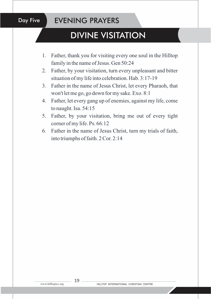#### Day Five

## EVENING PRAYERS

# DIVINE VISITATION

- 1. Father, thank you for visiting every one soul in the Hilltop family in the name of Jesus. Gen 50:24
- 2. Father, by your visitation, turn every unpleasant and bitter situation of my life into celebration. Hab. 3:17-19
- 3. Father in the name of Jesus Christ, let every Pharaoh, that won't let me go, go down for my sake. Exo. 8:1
- 4. Father, let every gang up of enemies, against my life, come to naught. Isa. 54:15
- 5. Father, by your visitation, bring me out of every tight corner of my life. Ps. 66:12
- 6. Father in the name of Jesus Christ, turn my trials of faith, into triumphs of faith. 2 Cor. 2:14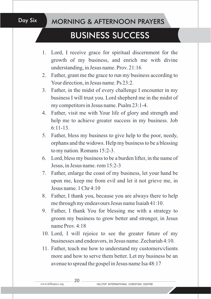### Day Six

# BUSINESS SUCCESS

- 1. Lord, I receive grace for spiritual discernment for the growth of my business, and enrich me with divine understanding, in Jesus name. Prov. 21:16
- 2. Father, grant me the grace to run my business according to Your direction, in Jesus name. Ps 23:2.
- 3. Father, in the midst of every challenge I encounter in my business I will trust you. Lord shepherd me in the midst of my competitors in Jesus name. Psalm 23:1-4.
- 4. Father, visit me with Your life of glory and strength and help me to achieve greater success in my business. Job 6:11-13.
- 5. Father, bless my business to give help to the poor, needy, orphans and the widows. Help my business to be a blessing to my nation. Romans 15:2-3.
- 6. Lord, bless my business to be a burden lifter, in the name of Jesus, in Jesus name. rom 15:2-3
- 7. Father, enlarge the coast of my business, let your hand be upon me, keep me from evil and let it not grieve me, in Jesus name. 1 Chr 4:10
- 8. Father, I thank you, because you are always there to help me through my endeavours Jesus name Isaiah 41:10.
- 9. Father, I thank You for blessing me with a strategy to groom my business to grow better and stronger, in Jesus name Prov. 4:18
- 10. Lord, I will rejoice to see the greater future of my businesses and endeavors, in Jesus name. Zechariah 4:10.
- 11. Father, teach me how to understand my customers/clients more and how to serve them better. Let my business be an avenue to spread the gospel in Jesus name Isa 48:17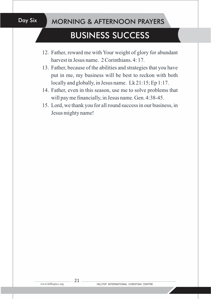### Day Six

# BUSINESS SUCCESS

- 12. Father, reward me with Your weight of glory for abundant harvest in Jesus name. 2 Corinthians. 4: 17.
- 13. Father, because of the abilities and strategies that you have put in me, my business will be best to reckon with both locally and globally, in Jesus name. Lk 21:15; Ep 1:17.
- 14. Father, even in this season, use me to solve problems that will pay me financially, in Jesus name. Gen. 4:38-45.
- 15. Lord, we thank you for all round success in our business, in Jesus mighty name!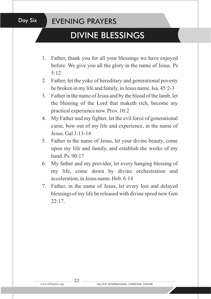### Day Six

## EVENING PRAYERS

# DIVINE BLESSINGS

- 1. Father, thank you for all your blessings we have enjoyed before. We give you all the glory in the name of Jesus. Ps 5:12
- 2. Father, let the yoke of hereditary and generational poverty be broken in my life and family, in Jesus name. Isa. 45:2-3
- 3. Father in the name of Jesus and by the blood of the lamb, let the blessing of the Lord that maketh rich, become my practical experience now. Prov. 10:2
- 4. My Father and my fighter, let the evil force of generational curse, bow out of my life and experience, in the name of Jesus. Gal  $3:13-14$
- 5. Father in the name of Jesus, let your divine beauty, come upon my life and family, and establish the works of my hand. Ps. 90:17
- 6. My father and my provider, let every hanging blessing of my life, come down by divine orchestration and acceleration, in Jesus name. Heb. 6:14
- 7. Father, in the name of Jesus, let every lost and delayed blessings of my life be released with divine speed now Gen  $22:17.$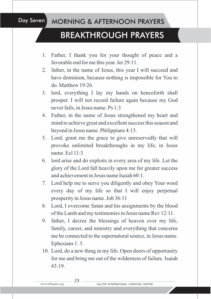Day Seven MORNING & AFTERNOON PRAYERS

# BREAKTHROUGH PRAYERS

- 1. Father, I thank you for your thought of peace and a favorable end for me this year. Jer 29:11.
- 2. father, in the name of Jesus, this year I will succeed and have dominion, because nothing is impossible for You to do. Matthew 19:26.
- 3. lord, everything I lay my hands on henceforth shall prosper. I will not record failure again because my God never fails, in Jesus name. Ps 1:3
- 4. Father, in the name of Jesus strengthened my heart and mind to achieve great and excellent success this season and beyond in Jesus name. Philippians 4:13.
- 5. Lord, grant me the grace to give unreservedly that will provoke unlimited breakthroughs in my life, in Jesus name. Ecl 11:3
- 6. lord arise and do exploits in every area of my life. Let the glory of the Lord fall heavily upon me for greater success and achievement in Jesus name Isaiah 60:1.
- 7. Lord help me to serve you diligently and obey Your word every day of my life so that I will enjoy perpetual prosperity in Jesus name. Job 36:11
- 8. Lord, I overcome Satan and his assignments by the blood of the Lamb and my testimonies in Jesus name Rev 12:11.
- 9. father, I decree the blessings of heaven over my life, family, career, and ministry and everything that concerns me be connected to the supernatural source, in Jesus name. Ephesians 1: 3.
- 10. Lord, do a new thing in my life. Open doors of opportunity for me and bring me out of the wilderness of failure. Isaiah  $43 \cdot 19$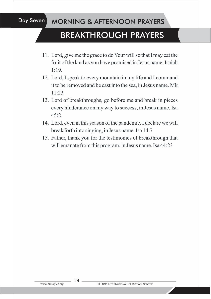#### Day Seven MORNING & AFTERNOON PRAYERS

# BREAKTHROUGH PRAYERS

- 11. Lord, give me the grace to do Your will so that I may eat the fruit of the land as you have promised in Jesus name. Isaiah 1:19.
- 12. Lord, I speak to every mountain in my life and I command it to be removed and be cast into the sea, in Jesus name. Mk  $11.23$
- 13. Lord of breakthroughs, go before me and break in pieces every hinderance on my way to success, in Jesus name. Isa  $45.2$
- 14. Lord, even in this season of the pandemic, I declare we will break forth into singing, in Jesus name. Isa 14:7
- 15. Father, thank you for the testimonies of breakthrough that will emanate from this program, in Jesus name. Isa 44:23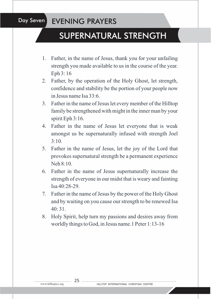#### Day Seven EVENING PRAYERS

# SUPERNATURAL STRENGTH

- 1. Father, in the name of Jesus, thank you for your unfailing strength you made available to us in the course of the year. Eph 3: 16
- 2. Father, by the operation of the Holy Ghost, let strength, confidence and stability be the portion of your people now in Jesus name Isa 33:6.
- 3. Father in the name of Jesus let every member of the Hilltop family be strengthened with might in the inner man by your spirit Eph 3:16.
- 4. Father in the name of Jesus let everyone that is weak amongst us be supernaturally infused with strength Joel  $3:10.$
- 5. Father in the name of Jesus, let the joy of the Lord that provokes supernatural strength be a permanent experience Neh 8:10.
- 6. Father in the name of Jesus supernaturally increase the strength of everyone in our midst that is weary and fainting Isa 40:28-29.
- 7. Father in the name of Jesus by the power of the Holy Ghost and by waiting on you cause our strength to be renewed Isa  $40:31.$
- 8. Holy Spirit, help turn my passions and desires away from worldly things to God, in Jesus name.1 Peter 1:13-16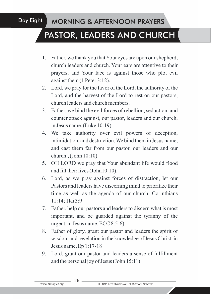## Day Eight

## ELECTRONIC CLUBCH PASTOR, LEADERS AND CHURCH

- 1. Father, we thank you that Your eyes are upon our shepherd, church leaders and church. Your ears are attentive to their prayers, and Your face is against those who plot evil against them (1 Peter 3:12).
- 2. Lord, we pray for the favor of the Lord, the authority of the Lord, and the harvest of the Lord to rest on our pastors, church leaders and church members.
- 3. Father, we bind the evil forces of rebellion, seduction, and counter attack against, our pastor, leaders and our church, in Jesus name. (Luke 10:19)
- 4. We take authority over evil powers of deception, intimidation, and destruction. We bind them in Jesus name, and cast them far from our pastor, our leaders and our church., (John 10:10)
- 5. OH LORD we pray that Your abundant life would flood and fill their lives (John10:10).
- 6. Lord, as we pray against forces of distraction, let our Pastors and leaders have discerning mind to prioritize their time as well as the agenda of our church. Corinthians 11:14; 1Ki 3:9
- 7. Father, help our pastors and leaders to discern what is most important, and be guarded against the tyranny of the urgent, in Jesus name. ECC 8:5-6)
- 8. Father of glory, grant our pastor and leaders the spirit of wisdom and revelation in the knowledge of Jesus Christ, in Jesus name, Ep 1:17-18
- 9. Lord, grant our pastor and leaders a sense of fulfillment and the personal joy of Jesus (John 15:11).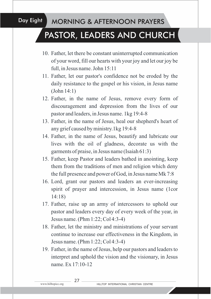## Day Eight

## ELECTRONIC CLUBCH PASTOR, LEADERS AND CHURCH

- 10. Father, let there be constant uninterrupted communication of your word, fill our hearts with your joy and let our joy be full, in Jesus name. John 15:11
- 11. Father, let our pastor's confidence not be eroded by the daily resistance to the gospel or his vision, in Jesus name (John 14:1)
- 12. Father, in the name of Jesus, remove every form of discouragement and depression from the lives of our pastor and leaders, in Jesus name. 1kg 19:4-8
- 13. Father, in the name of Jesus, heal our shepherd's heart of any grief caused by ministry.1kg 19:4-8
- 14. Father, in the name of Jesus, beautify and lubricate our lives with the oil of gladness, decorate us with the garments of praise, in Jesus name (Isaiah 61:3)
- 15. Father, keep Pastor and leaders bathed in anointing, keep them from the traditions of men and religion which deny the full presence and power of God, in Jesus name Mk 7:8
- 16. Lord, grant our pastors and leaders an ever-increasing spirit of prayer and intercession, in Jesus name (1cor 14:18)
- 17. Father, raise up an army of intercessors to uphold our pastor and leaders every day of every week of the year, in Jesus name. (Phm 1:22; Col 4:3-4)
- 18. Father, let the ministry and ministrations of your servant continue to increase our effectiveness in the Kingdom, in Jesus name. (Phm 1:22; Col 4:3-4)
- 19. Father, in the name of Jesus, help our pastors and leaders to interpret and uphold the vision and the visionary, in Jesus name. Ex 17:10-12

 $-27$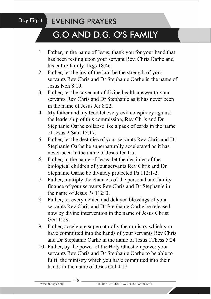# Day Eight **EVENING PRAYERS**

# G.O AND D.G. O'S FAMILY

- 1. Father, in the name of Jesus, thank you for your hand that has been resting upon your servant Rev. Chris Oarhe and his entire family. 1 kgs 18:46
- 2. Father, let the joy of the lord be the strength of your servants Rev Chris and Dr Stephanie Oarhe in the name of Jesus Neh 8:10.
- 3. Father, let the covenant of divine health answer to your servants Rev Chris and Dr Stephanie as it has never been in the name of Jesus Jer 8:22.
- 4. My father and my God let every evil conspiracy against the leadership of this commission, Rev Chris and Dr Stephanie Oarhe collapse like a pack of cards in the name of Jesus 2 Sam 15:17.
- 5. Father, let the destinies of your servants Rev Chris and Dr Stephanie Oarhe be supernaturally accelerated as it has never been in the name of Jesus Jer 1:5.
- 6. Father, in the name of Jesus, let the destinies of the biological children of your servants Rev Chris and Dr Stephanie Oarhe be divinely protected Ps 112:1-2.
- 7. Father, multiply the channels of the personal and family finance of your servants Rev Chris and Dr Stephanie in the name of Jesus Ps 112: 3.
- 8. Father, let every denied and delayed blessings of your servants Rev Chris and Dr Stephanie Oarhe be released now by divine intervention in the name of Jesus Christ Gen 12:3.
- 9. Father, accelerate supernaturally the ministry which you have committed into the hands of your servants Rev Chris and Dr Stephanie Oarhe in the name of Jesus 1Thess 5:24.
- 10. Father, by the power of the Holy Ghost empower your servants Rev Chris and Dr Stephanie Oarhe to be able to fulfil the ministry which you have committed into their hands in the name of Jesus Col 4:17.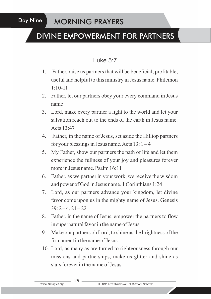## Day Nine MORNING PRAYERS

# DIVINE EMPOWERMENT FOR PARTNERS

## Luke 5:7

- 1. Father, raise us partners that will be beneficial, profitable, useful and helpful to this ministry in Jesus name. Philemon 1:10-11
- 2. Father, let our partners obey your every command in Jesus name
- 3. Lord, make every partner a light to the world and let your salvation reach out to the ends of the earth in Jesus name. Acts 13:47
- 4. Father, in the name of Jesus, set aside the Hilltop partners for your blessings in Jesus name. Acts  $13: 1-4$
- 5. My Father, show our partners the path of life and let them experience the fullness of your joy and pleasures forever more in Jesus name. Psalm 16:11
- 6. Father, as we partner in your work, we receive the wisdom and power of God in Jesus name. 1 Corinthians 1:24
- 7. Lord, as our partners advance your kingdom, let divine favor come upon us in the mighty name of Jesus. Genesis  $39: 2 - 4, 21 - 22$
- 8. Father, in the name of Jesus, empower the partners to flow in supernatural favor in the name of Jesus
- 9. Make our partners oh Lord, to shine as the brightness of the firmament in the name of Jesus
- 10. Lord, as many as are turned to righteousness through our missions and partnerships, make us glitter and shine as stars forever in the name of Jesus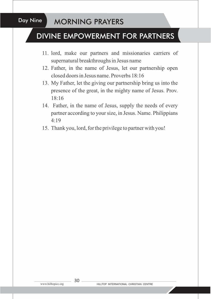## Day Nine MORNING PRAYERS

## DIVINE EMPOWERMENT FOR PARTNERS

- 11. lord, make our partners and missionaries carriers of supernatural breakthroughs in Jesus name
- 12. Father, in the name of Jesus, let our partnership open closed doors in Jesus name. Proverbs 18:16
- 13. My Father, let the giving our partnership bring us into the presence of the great, in the mighty name of Jesus. Prov.  $18.16$
- 14. Father, in the name of Jesus, supply the needs of every partner according to your size, in Jesus. Name. Philippians  $4.19$
- 15. Thank you, lord, for the privilege to partner with you!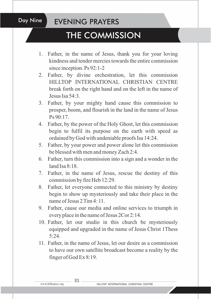## Day Nine **EVENING PRAYERS**

# THE COMMISSION

- 1. Father, in the name of Jesus, thank you for your loving kindness and tender mercies towards the entire commission since inception. Ps 92:1-2
- 2. Father, by divine orchestration, let this commission HILLTOP INTERNATIONAL CHRISTIAN CENTRE break forth on the right hand and on the left in the name of Jesus Isa 54:3.
- 3. Father, by your mighty hand cause this commission to prosper, boom, and flourish in the land in the name of Jesus Ps 90:17.
- 4. Father, by the power of the Holy Ghost, let this commission begin to fulfil its purpose on the earth with speed as ordained by God with undeniable proofs Isa 14:24.
- 5. Father, by your power and power alone let this commission be blessed with men and money Zach 2:4.
- 6. Father, turn this commission into a sign and a wonder in the land Isa  $8:18$ .
- 7. Father, in the name of Jesus, rescue the destiny of this commission by fire Heb 12:29.
- 8. Father, let everyone connected to this ministry by destiny begin to show up mysteriously and take their place in the name of Jesus 2 Tim 4: 11.
- 9. Father, cause our media and online services to triumph in every place in the name of Jesus 2Cor 2:14.
- 10. Father, let our studio in this church be mysteriously equipped and upgraded in the name of Jesus Christ 1Thess  $5.24$
- 11. Father, in the name of Jesus, let our desire as a commission to have our own satellite broadcast become a reality by the finger of God Ex 8:19.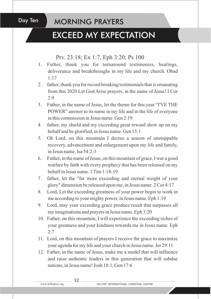## Day Ten MORNING PRAYERS

# EXCEED MY EXPECTATION

Prv. 23:18; Ex 1:7, Eph 3:20; Ps 100

- 1. Father, thank you for turnaround testimonies, healings, deliverance and breakthroughs in my life and my church. Obad  $1:17$
- 2. father, thank you for record breaking testimonials that is emanating from this 2020 Let God Arise prayers, in the name of Jesus! I Cor  $2:9$
- 3. Father, in the name of Jesus, let the theme for this year "I'VE THE POWER" answer to its name in my life and in the life of everyone in this commission in Jesus name. Gen 2:19
- 4. father, my shield and my exceeding great reward show up on my behalf and be glorified, in Jesus name. Gen 15:1
- 5. Oh Lord, on this mountain I decree a season of unstoppable recovery, advancement and enlargement upon my life and family, in Jesus name. Isa 54:2-3
- 6. Father, in the name of Jesus, on this mountain of grace, I war a good warfare by faith with every prophecy that has been released on my behalf in Jesus name. 1 Tim 1:18-19
- 7. father, let the "far more exceeding and eternal weight of your glory" dimension be released upon me, in Jesus name. 2 Cor 4:17
- 8. Lord, Let the exceeding greatness of your power begin to work in me according to your mighty power, in Jesus name. Eph 1:19
- 9. Lord, may your exceeding grace produce result that surpasses all my imaginations and prayers in Jesus name. Eph 3:20
- 10. Father, on this mountain, I will experience the exceeding riches of your greatness and your kindness towards me in Jesus name. Eph  $2.7$
- 11. Lord, on this mountain of prayers I receive the grace to maximize your agenda for my life and your church in Jesus name. Jer 29:11
- 12. Father, in the name of Jesus, make me a model that will influence and raise authentic leaders in this generation that will subdue nations, in Jesus name! Josh 18:1, Gen 17:6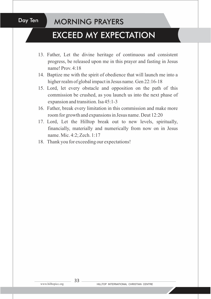## Day Ten MORNING PRAYERS

# EXCEED MY EXPECTATION

- 13. Father, Let the divine heritage of continuous and consistent progress, be released upon me in this prayer and fasting in Jesus name! Prov. 4:18
- 14. Baptize me with the spirit of obedience that will launch me into a higher realm of global impact in Jesus name. Gen 22:16-18
- 15. Lord, let every obstacle and opposition on the path of this commission be crushed, as you launch us into the next phase of expansion and transition. Isa 45:1-3
- 16. Father, break every limitation in this commission and make more room for growth and expansions in Jesus name. Deut 12:20
- 17. Lord, Let the Hilltop break out to new levels, spiritually, financially, materially and numerically from now on in Jesus name. Mic. 4:2; Zech. 1:17
- 18. Thank you for exceeding our expectations!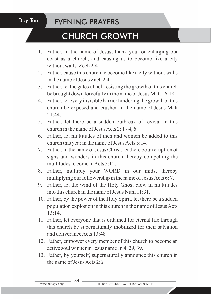## Day Ten **EVENING PRAYERS**

# CHURCH GROWTH

- 1. Father, in the name of Jesus, thank you for enlarging our coast as a church, and causing us to become like a city without walls. Zech 2:4
- 2. Father, cause this church to become like a city without walls in the name of Jesus Zach 2:4.
- 3. Father, let the gates of hell resisting the growth of this church be brought down forcefully in the name of Jesus Matt 16:18.
- 4. Father, let every invisible barrier hindering the growth of this church be exposed and crushed in the name of Jesus Matt  $21.44$
- 5. Father, let there be a sudden outbreak of revival in this church in the name of Jesus Acts 2: 1 - 4, 6.
- 6. Father, let multitudes of men and women be added to this church this year in the name of Jesus Acts 5:14.
- 7. Father, in the name of Jesus Christ, let there be an eruption of signs and wonders in this church thereby compelling the multitudes to come in Acts 5:12.
- 8. Father, multiply your WORD in our midst thereby multiplying our followership in the name of Jesus Acts 6: 7.
- 9. Father, let the wind of the Holy Ghost blow in multitudes into this church in the name of Jesus Num 11:31.
- 10. Father, by the power of the Holy Spirit, let there be a sudden population explosion in this church in the name of Jesus Acts 13:14.
- 11. Father, let everyone that is ordained for eternal life through this church be supernaturally mobilized for their salvation and deliverance Acts 13:48.
- 12. Father, empower every member of this church to become an active soul winner in Jesus name Jn 4: 29, 39.
- 13. Father, by yourself, supernaturally announce this church in the name of Jesus Acts 2:6.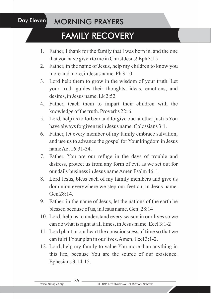## Day Eleven MORNING PRAYERS

# FAMILY RECOVERY

- 1. Father, I thank for the family that I was born in, and the one that you have given to me in Christ Jesus! Eph 3:15
- 2. Father, in the name of Jesus, help my children to know you more and more, in Jesus name. Ph 3:10
- 3. Lord help them to grow in the wisdom of your truth. Let your truth guides their thoughts, ideas, emotions, and desires, in Jesus name. Lk 2:52
- 4. Father, teach them to impart their children with the knowledge of the truth. Proverbs 22: 6.
- 5. Lord, help us to forbear and forgive one another just as You have always forgiven us in Jesus name. Colossians 3:1.
- 6. Father, let every member of my family embrace salvation, and use us to advance the gospel for Your kingdom in Jesus name Act 16:31-34.
- 7. Father, You are our refuge in the days of trouble and distress, protect us from any form of evil as we set out for our daily business in Jesus name Amen Psalm 46: 1.
- 8. Lord Jesus, bless each of my family members and give us dominion everywhere we step our feet on, in Jesus name. Gen 28:14.
- 9. Father, in the name of Jesus, let the nations of the earth be blessed because of us, in Jesus name. Gen. 28:14
- 10. Lord, help us to understand every season in our lives so we can do what is right at all times, in Jesus name. Eccl 3:1-2
- 11. Lord plant in our heart the consciousness of time so that we can fulfill Your plan in our lives. Amen. Eccl 3:1-2.
- 12. Lord, help my family to value You more than anything in this life, because You are the source of our existence. Ephesians 3:14-15.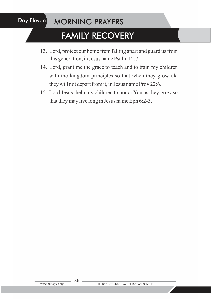## Day Eleven MORNING PRAYERS

# FAMILY RECOVERY

- 13. Lord, protect our home from falling apart and guard us from this generation, in Jesus name Psalm 12:7.
- 14. Lord, grant me the grace to teach and to train my children with the kingdom principles so that when they grow old they will not depart from it, in Jesus name Prov 22:6.
- 15. Lord Jesus, help my children to honor You as they grow so that they may live long in Jesus name Eph 6:2-3.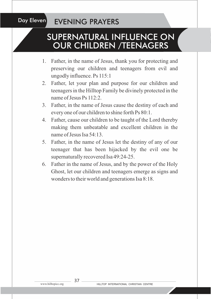## Day Eleven **EVENING PRAYERS**

## SUPERNATURAL INFLUENCE ON OUR CHILDREN /TEENAGERS

- 1. Father, in the name of Jesus, thank you for protecting and preserving our children and teenagers from evil and ungodly influence. Ps 115:1
- 2. Father, let your plan and purpose for our children and teenagers in the Hilltop Family be divinely protected in the name of Jesus Ps 112:2.
- 3. Father, in the name of Jesus cause the destiny of each and every one of our children to shine forth Ps 80:1.
- 4. Father, cause our children to be taught of the Lord thereby making them unbeatable and excellent children in the name of Jesus Isa 54:13.
- 5. Father, in the name of Jesus let the destiny of any of our teenager that has been hijacked by the evil one be supernaturally recovered Isa 49:24-25.
- 6. Father in the name of Jesus, and by the power of the Holy Ghost, let our children and teenagers emerge as signs and wonders to their world and generations Isa 8:18.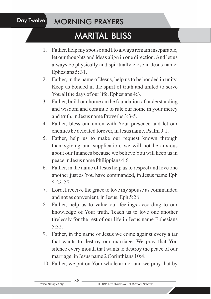## Day Twelve MORNING PRAYERS

# MARITAL BLISS

- 1. Father, help my spouse and I to always remain inseparable, let our thoughts and ideas align in one direction. And let us always be physically and spiritually close in Jesus name. Ephesians 5: 31.
- 2. Father, in the name of Jesus, help us to be bonded in unity. Keep us bonded in the spirit of truth and united to serve You all the days of our life. Ephesians 4:3.
- 3. Father, build our home on the foundation of understanding and wisdom and continue to rule our home in your mercy and truth, in Jesus name Proverbs 3:3-5.
- 4. Father, bless our union with Your presence and let our enemies be defeated forever, in Jesus name. Psalm 9:1.
- 5. Father, help us to make our request known through thanksgiving and supplication, we will not be anxious about our finances because we believe You will keep us in peace in Jesus name Philippians 4:6.
- 6. Father, in the name of Jesus help us to respect and love one another just as You have commanded, in Jesus name Eph  $5:22-25$
- 7. Lord, I receive the grace to love my spouse as commanded and not as convenient, in Jesus. Eph 5:28
- 8. Father, help us to value our feelings according to our knowledge of Your truth. Teach us to love one another tirelessly for the rest of our life in Jesus name Ephesians  $5.32.$
- 9. Father, in the name of Jesus we come against every altar that wants to destroy our marriage. We pray that You silence every mouth that wants to destroy the peace of our marriage, in Jesus name 2 Corinthians 10:4.
- 10. Father, we put on Your whole armor and we pray that by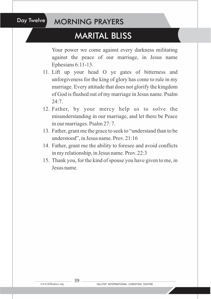### Day Twelve MORNING PRAYERS

## MARITAL BLISS

Your power we come against every darkness militating against the peace of our marriage, in Jesus name Ephesians 6:11-13.

- 11. Lift up your head O ye gates of bitterness and unforgiveness for the king of glory has come to rule in my marriage. Every attitude that does not glorify the kingdom of God is flushed out of my marriage in Jesus name. Psalm  $24.7$
- 12. Father, by your mercy help us to solve the misunderstanding in our marriage, and let there be Peace in our marriages. Psalm 27: 7.
- 13. Father, grant me the grace to seek to "understand than to be understood", in Jesus name. Prov. 21:16
- 14. Father, grant me the ability to foresee and avoid conflicts in my relationship, in Jesus name. Prov. 22:3
- 15. Thank you, for the kind of spouse you have given to me, in Jesus name.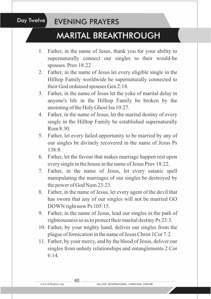## Day Twelve **EVENING PRAYERS**

## MARITAL BREAKTHROUGH

- 1. Father, in the name of Jesus, thank you for your ability to supernaturally connect our singles to their would-be spouses. Prov 18:22
- 2. Father, in the name of Jesus let every eligible single in the Hilltop Family worldwide be supernaturally connected to their God ordained spouses Gen 2:18.
- 3. Father, in the name of Jesus let the yoke of marital delay in anyone's life in the Hilltop Family be broken by the anointing of the Holy Ghost Isa 10:27.
- 4. Father, in the name of Jesus, let the marital destiny of every single in the Hilltop Family be established supernaturally  $Rom 8:30.$
- 5. Father, let every failed opportunity to be married by any of our singles be divinely recovered in the name of Jesus Ps 138:8.
- 6. Father, let the favour that makes marriage happen rest upon every single in the house in the name of Jesus Prov 18:22.
- 7. Father, in the name of Jesus, let every satanic spell manipulating the marriages of our singles be destroyed by the power of God Num 23:23.
- 8. Father, in the name of Jesus, let every agent of the devil that has sworn that any of our singles will not be married GO DOWN right now Ps 105:15.
- 9. Father, in the name of Jesus, lead our singles in the path of righteousness so as to protect their marital destiny Ps 23:3.
- 10. Father, by your mighty hand, deliver our singles from the plague of fornication in the name of Jesus Christ 1Cor 7:2.
- 11. Father, by your mercy, and by the blood of Jesus, deliver our singles from unholy relationships and entanglements 2 Cor 6:14.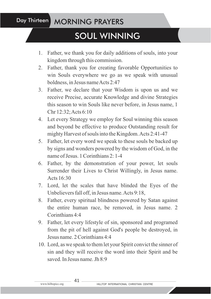## Day Thirteen MORNING PRAYERS

# SOUL WINNING

- 1. Father, we thank you for daily additions of souls, into your kingdom through this commission.
- 2. Father, thank you for creating favorable Opportunities to win Souls everywhere we go as we speak with unusual boldness, in Jesus name Acts 2:47
- 3. Father, we declare that your Wisdom is upon us and we receive Precise, accurate Knowledge and divine Strategies this season to win Souls like never before, in Jesus name, 1 Chr 12:32; Acts 6:10
- 4. Let every Strategy we employ for Soul winning this season and beyond be effective to produce Outstanding result for mighty Harvest of souls into the Kingdom. Acts 2:41-47
- 5. Father, let every word we speak to these souls be backed up by signs and wonders powered by the wisdom of God, in the name of Jesus. 1 Corinthians 2: 1-4
- 6. Father, by the demonstration of your power, let souls Surrender their Lives to Christ Willingly, in Jesus name. Acts  $16:30$
- 7. Lord, let the scales that have blinded the Eyes of the Unbelievers fall off, in Jesus name. Acts 9:18,
- 8. Father, every spiritual blindness powered by Satan against the entire human race, be removed, in Jesus name. 2 Corinthians 4:4
- 9. Father, let every lifestyle of sin, sponsored and programed from the pit of hell against God's people be destroyed, in Jesus name. 2 Corinthians 4:4
- 10. Lord, as we speak to them let your Spirit convict the sinner of sin and they will receive the word into their Spirit and be saved. In Jesus name. Jh 8:9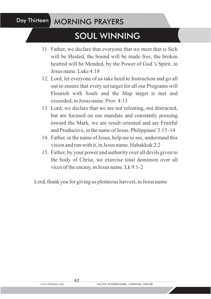## Day Thirteen MORNING PRAYERS

# SOUL WINNING

- 11. Father, we declare that everyone that we meet that is Sick will be Healed, the bound will be made free, the broken hearted will be Mended, by the Power of God 's Spirit, in Jesus name. Luke 4:18
- 12. Lord, let everyone of us take heed to Instruction and go all out to ensure that every set target for all our Programs will Flourish with Souls and the Map target is met and exceeded, in Jesus name. Prov. 4:13
- 13. Lord, we declare that we are not relenting, not distracted, but are focused on our mandate and constantly pressing toward the Mark, we are result oriented and are Fruitful and Productive, in the name of Jesus. Philippians' 3:13 -14
- 14. Father, in the name of Jesus, help me to see, understand this vision and run with it, in Jesus name. Habakkuk 2:2
- 15. Father, by your power and authority over all devils given to the body of Christ, we exercise total dominion over all vices of the enemy, in Jesus name. Lk 9:1-2

Lord, thank you for giving us plenteous harvest, in Jesus name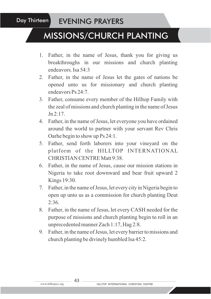## Day Thirteen **EVENING PRAYERS**

## MISSIONS/CHURCH PLANTING

- 1. Father, in the name of Jesus, thank you for giving us breakthroughs in our missions and church planting endeavors. Isa 54:3
- 2. Father, in the name of Jesus let the gates of nations be opened unto us for missionary and church planting endeavors Ps 24:7.
- 3. Father, consume every member of the Hilltop Family with the zeal of missions and church planting in the name of Jesus  $Jn 2:17$ .
- 4. Father, in the name of Jesus, let everyone you have ordained around the world to partner with your servant Rev Chris Oarhe begin to show up Ps 24:1.
- 5. Father, send forth laborers into your vineyard on the platform of the HILLTOP INTERNATIONAL CHRISTIAN CENTRE Matt 9:38.
- 6. Father, in the name of Jesus, cause our mission stations in Nigeria to take root downward and bear fruit upward 2 Kings 19:30.
- 7. Father, in the name of Jesus, let every city in Nigeria begin to open up unto us as a commission for church planting Deut  $2.36$
- 8. Father, in the name of Jesus, let every CASH needed for the purpose of missions and church planting begin to roll in an unprecedented manner Zach 1:17, Hag 2:8.
- 9. Father, in the name of Jesus, let every barrier to missions and church planting be divinely humbled Isa 45:2.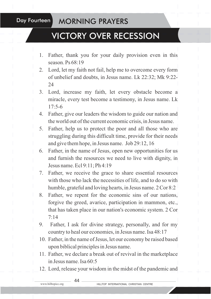#### Day Fourteen MORNING PRAYERS

## VICTORY OVER RECESSION

- 1. Father, thank you for your daily provision even in this season. Ps 68:19
- 2. Lord, let my faith not fail, help me to overcome every form of unbelief and doubts, in Jesus name. Lk 22:32; Mk 9:22-  $24$
- 3. Lord, increase my faith, let every obstacle become a miracle, every test become a testimony, in Jesus name. Lk  $17.5-6$
- 4. Father, give our leaders the wisdom to guide our nation and the world out of the current economic crisis, in Jesus name.
- 5. Father, help us to protect the poor and all those who are struggling during this difficult time, provide for their needs and give them hope, in Jesus name. Job 29:12, 16
- 6. Father, in the name of Jesus, open new opportunities for us and furnish the resources we need to live with dignity, in Jesus name. Ecl 9:11; Ph 4:19
- 7. Father, we receive the grace to share essential resources with those who lack the necessities of life, and to do so with humble, grateful and loving hearts, in Jesus name.  $2 \text{Cor } 8:2^{\vert}$
- 8. Father, we repent for the economic sins of our nations, forgive the greed, avarice, participation in mammon, etc., that has taken place in our nation's economic system. 2 Cor 7:14
- 9. Father, I ask for divine strategy, personally, and for my country to heal our economies, in Jesus name. Isa 48:17
- 10. Father, in the name of Jesus, let our economy be raised based upon biblical principles in Jesus name.
- 11. Father, we declare a break out of revival in the marketplace in Jesus name. Isa 60:5
- 12. Lord, release your wisdom in the midst of the pandemic and

 $\Delta\Delta$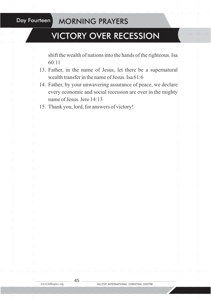#### Day Fourteen MORNING PRAYERS

## VICTORY OVER RECESSION

shift the wealth of nations into the hands of the righteous. Isa 60:11

- 13. Father, in the name of Jesus, let there be a supernatural wealth transfer in the name of Jesus. Isa 61:6
- 14. Father, by your unwavering assurance of peace, we declare every economic and social recession are over in the mighty name of Jesus. Jere 14:13
- 15. Thank you, lord, for answers of victory!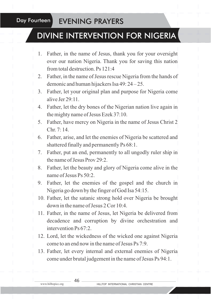#### Day Fourteen **EVENING PRAYERS**

## DIVINE INTERVENTION FOR NIGERIA

- 1. Father, in the name of Jesus, thank you for your oversight over our nation Nigeria. Thank you for saving this nation from total destruction. Ps 121:4
- 2. Father, in the name of Jesus rescue Nigeria from the hands of demonic and human hijackers Isa 49: 24 – 25.
- 3. Father, let your original plan and purpose for Nigeria come alive Jer 29:11.
- 4. Father, let the dry bones of the Nigerian nation live again in the mighty name of Jesus Ezek 37:10.
- 5. Father, have mercy on Nigeria in the name of Jesus Christ 2  $Chr$ . 7: 14.
- 6. Father, arise, and let the enemies of Nigeria be scattered and shattered finally and permanently Ps 68:1.
- 7. Father, put an end, permanently to all ungodly ruler ship in the name of Jesus Prov 29:2.
- 8. Father, let the beauty and glory of Nigeria come alive in the name of Jesus Ps  $50.2$ .
- 9. Father, let the enemies of the gospel and the church in Nigeria go down by the finger of God Isa 54:15.
- 10. Father, let the satanic strong hold over Nigeria be brought down in the name of Jesus 2 Cor 10:4.
- 11. Father, in the name of Jesus, let Nigeria be delivered from decadence and corruption by divine orchestration and intervention Ps 67:2.
- 12. Lord, let the wickedness of the wicked one against Nigeria come to an end now in the name of Jesus Ps 7:9.
- 13. Father, let every internal and external enemies of Nigeria come under brutal judgement in the name of Jesus Ps 94:1.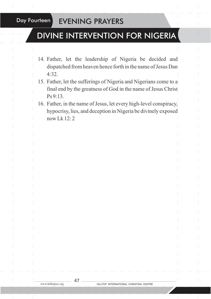### Day Fourteen **EVENING PRAYERS**

## DIVINE INTERVENTION FOR NIGERIA

- 14. Father, let the leadership of Nigeria be decided and dispatched from heaven hence forth in the name of Jesus Dan 4:32.
- 15. Father, let the sufferings of Nigeria and Nigerians come to a final end by the greatness of God in the name of Jesus Christ  $Ps 9.13$
- 16. Father, in the name of Jesus, let every high-level conspiracy, hypocrisy, lies, and deception in Nigeria be divinely exposed now Lk  $12:2$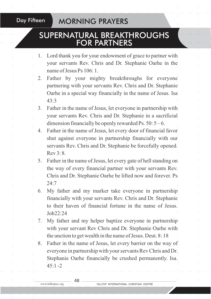### Day Fifteen MORNING PRAYERS

### SUPERNATURAL BREAKTHROUGHS FOR PARTNERS

- 1. Lord thank you for your endowment of grace to partner with your servants Rev. Chris and Dr. Stephanie Oarhe in the name of Jesus Ps  $106:1$ .
- 2. Father by your mighty breakthroughs for everyone partnering with your servants Rev. Chris and Dr. Stephanie Oarhe in a special way financially in the name of Jesus. Isa  $43.3$
- 3. Father in the name of Jesus, let everyone in partnership with your servants Rev. Chris and Dr. Stephanie in a sacrificial dimension financially be openly rewarded Ps.  $50:5-6$ .
- 4. Father in the name of Jesus, let every door of financial favor shut against everyone in partnership financially with our servants Rev. Chris and Dr. Stephanie be forcefully opened. Rev 3: 8.
- 5. Father in the name of Jesus, let every gate of hell standing on the way of every financial partner with your servants Rev. Chris and Dr. Stephanie Oarhe be lifted now and forever. Ps  $24.7$
- 6. My father and my marker take everyone in partnership financially with your servants Rev. Chris and Dr. Stephanie to their haven of financial fortune in the name of Jesus. Job22:24
- 7. My father and my helper baptize everyone in partnership with your servant Rev Chris and Dr. Stephanie Oarhe with the unction to get wealth in the name of Jesus. Deut. 8: 18
- 8. Father in the name of Jesus, let every barrier on the way of everyone in partnership with your servants Rev Chris and Dr. Stephanie Oarhe financially be crushed permanently. Isa.  $45.1 - 2$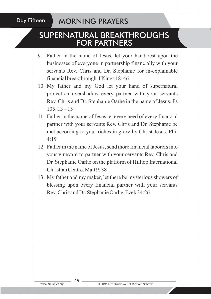### Day Fifteen MORNING PRAYERS

### SUPERNATURAL BREAKTHROUGHS FOR PARTNERS

- 9. Father in the name of Jesus, let your hand rest upon the businesses of everyone in partnership financially with your servants Rev. Chris and Dr. Stephanie for in-explainable financial breakthrough. I Kings 18: 46
- 10. My father and my God let your hand of supernatural protection overshadow every partner with your servants Rev. Chris and Dr. Stephanie Oarhe in the name of Jesus. Ps  $105: 13 - 15$
- 11. Father in the name of Jesus let every need of every financial partner with your servants Rev. Chris and Dr. Stephanie be met according to your riches in glory by Christ Jesus. Phil 4:19
- 12. Father in the name of Jesus, send more financial laborers into your vineyard to partner with your servants Rev. Chris and Dr. Stephanie Oarhe on the platform of Hilltop International Christian Centre. Matt 9: 38
- 13. My father and my maker, let there be mysterious showers of blessing upon every financial partner with your servants Rev. Chris and Dr. Stephanie Oarhe. Ezek 34:26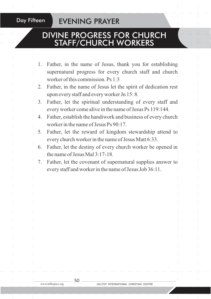### Day Fifteen **EVENING PRAYER**

### DIVINE PROGRESS FOR CHURCH STAFF/CHURCH WORKERS

- 1. Father, in the name of Jesus, thank you for establishing supernatural progress for every church staff and church worker of this commission. Ps 1:3
- 2. Father, in the name of Jesus let the spirit of dedication rest upon every staff and every worker Jn 15: 8.
- 3. Father, let the spiritual understanding of every staff and every worker come alive in the name of Jesus Ps 119:144.
- 4. Father, establish the handiwork and business of every church worker in the name of Jesus Ps 90:17.
- 5. Father, let the reward of kingdom stewardship attend to every church worker in the name of Jesus Matt 6:33.
- 6. Father, let the destiny of every church worker be opened in the name of Jesus Mal 3:17-18.
- 7. Father, let the covenant of supernatural supplies answer to every staff and worker in the name of Jesus Job 36:11.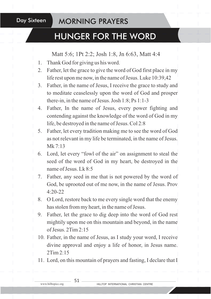#### Day Sixteen MORNING PRAYERS

## HUNGER FOR THE WORD

Matt 5:6; 1Pt 2:2; Josh 1:8, Jn 6:63, Matt 4:4

- 1. Thank God for giving us his word.
- 2. Father, let the grace to give the word of God first place in my life rest upon me now, in the name of Jesus. Luke 10:39,42
- 3. Father, in the name of Jesus, I receive the grace to study and to meditate ceaselessly upon the word of God and prosper there-in, in the name of Jesus. Josh 1:8; Ps 1:1-3
- 4. Father, In the name of Jesus, every power fighting and contending against the knowledge of the word of God in my life, be destroyed in the name of Jesus. Col 2:8
- 5. Father, let every tradition making me to see the word of God as not relevant in my life be terminated, in the name of Jesus. Mk 7:13
- 6. Lord, let every "fowl of the air" on assignment to steal the seed of the word of God in my heart, be destroyed in the name of Jesus. Lk 8:5
- 7. Father, any seed in me that is not powered by the word of God, be uprooted out of me now, in the name of Jesus. Prov 4:20-22
- 8. O Lord, restore back to me every single word that the enemy has stolen from my heart, in the name of Jesus.
- 9. Father, let the grace to dig deep into the word of God rest mightily upon me on this mountain and beyond, in the name of Jesus. 2Tim 2:15
- 10. Father, in the name of Jesus, as I study your word, I receive divine approval and enjoy a life of honor, in Jesus name. 2Tim 2:15
- 11. Lord, on this mountain of prayers and fasting, I declare that I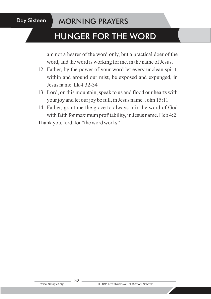#### Day Sixteen MORNING PRAYERS

## HUNGER FOR THE WORD

am not a hearer of the word only, but a practical doer of the word, and the word is working for me, in the name of Jesus.

- 12. Father, by the power of your word let every unclean spirit. within and around our mist, be exposed and expunged, in Jesus name. Lk 4:32-34
- 13. Lord, on this mountain, speak to us and flood our hearts with your joy and let our joy be full, in Jesus name. John 15:11
- 14. Father, grant me the grace to always mix the word of God with faith for maximum profitability, in Jesus name. Heb 4:2 Thank you, lord, for "the word works"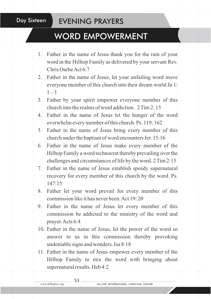#### Day Sixteen **EVENING PRAYERS**

## WORD EMPOWERMENT

- 1. Father in the name of Jesus thank you for the rain of your word in the Hilltop Family as delivered by your servant Rev. Chris Oarhe Act 6:7
- 2. Father in the name of Jesus, let your unfailing word move everyone member of this church into their dream world Jn 1:  $1 - 3$
- 3. Father by your spirit empower everyone member of this church into the realms of word addiction. 2 Tim 2: 15
- 4. Father in the name of Jesus let the hunger of the word overwhelm every member of this church. Ps. 119: 162
- 5. Father in the name of Jesus bring every member of this church under the baptism of word encounters Jer. 15:16
- 6. Father in the name of Jesus make every member of the Hilltop Family a word technocrat thereby prevailing over the challenges and circumstances of life by the word. 2 Tim 2:15
- 7. Father in the name of Jesus establish speedy supernatural recovery for every member of this church by the word. Ps.  $147.15$
- 8. Father let your word prevail for every member of this commission like it has never been. Act  $19.20$
- 9. Father in the name of Jesus let every member of this commission be addicted to the ministry of the word and prayer. Acts 6:4
- 10. Father in the name of Jesus, let the power of the word so answer to us in this commission thereby provoking undeniable signs and wonders. Isa 8:18
- 11. Father in the name of Jesus empower every member of the Hilltop Family to mix the word with bringing about supernatural results. Heb 4:2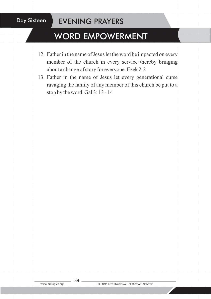## Day Sixteen **EVENING PRAYERS**

## WORD EMPOWERMENT

- 12. Father in the name of Jesus let the word be impacted on every member of the church in every service thereby bringing about a change of story for everyone. Ezek 2:2
- 13. Father in the name of Jesus let every generational curse ravaging the family of any member of this church be put to a stop by the word. Gal 3: 13 - 14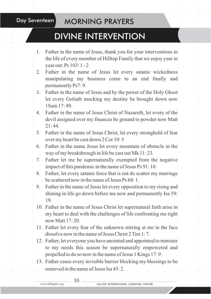### Day Seventeen MORNING PRAYERS

## DIVINE INTERVENTION

- 1. Father in the name of Jesus, thank you for your interventions in the life of every member of Hilltop Family that we enjoy year in year out. Ps 103: 1 - 2
- 2. Father in the name of Jesus let every satanic wickedness manipulating my business come to an end finally and permanently Ps7: 9.
- 3. Father in the name of Jesus and by the power of the Holy Ghost let every Goliath mocking my destiny be brought down now 1Sam 17: 49.
- 4. Father in the name of Jesus Christ of Nazareth, let every of the devil assigned over my finances be ground to powder now Matt  $21 \cdot 44$
- 5. Father in the name of Jesus Christ, let every stronghold of fear over my heart be cast down 2 Cor 10: 5
- 6. Father in the name Jesus let every mountain of obstacle in the way of my breakthrough in life be cast out Mk 11: 23.
- 7. Father let me be supernaturally exempted from the negative impact of this pandemic in the name of Jesus Ps 91: 10.
- 8. Father, let every satanic force that is out do scatter my marriage be scattered now in the name of Jesus Ps 68: 1.
- 9. Father in the name of Jesus let every opposition to my rising and shining in life go down before me now and permanently Isa 59: 19.
- 10. Father in the name of Jesus Christ let supernatural faith arise in my heart to deal with the challenges of life confronting me right now Matt 17: 20.
- 11. Father let every fear of the unknown stirring at me in the face dissolve now in the name of Jesus Christ 2 Tim 1: 7.
- 12. Father, let everyone you have anointed and appointed to minister to my needs this season be supernaturally empowered and propelled to do so now in the name of Jesus 1 Kings 17: 9.
- 13. Father cause every invisible barrier blocking my blessings to be removed in the name of Jesus Isa 45: 2.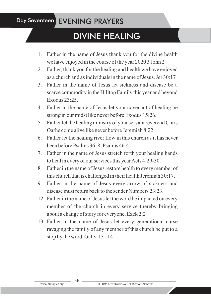#### Day Seventeen **EVENING PRAYERS**

## DIVINE HEALING

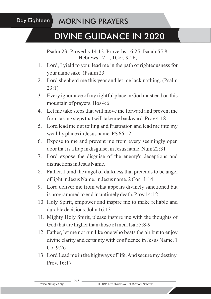#### Day Eighteen MORNING PRAYERS

## DIVINE GUIDANCE IN 2020

- Psalm 23; Proverbs 14:12. Proverbs 16:25. Isaiah 55:8. Hebrews 12:1, 1Cor. 9:26,
- 1. Lord, I yield to you; lead me in the path of righteousness for your name sake. (Psalm 23:
- 2. Lord shepherd me this year and let me lack nothing. (Psalm 23:1)
- 3. Every ignorance of my rightful place in God must end on this mountain of prayers. Hos 4:6
- 4. Let me take steps that will move me forward and prevent me from taking steps that will take me backward. Prov 4:18
- 5. Lord lead me out toiling and frustration and lead me into my wealthy places in Jesus name. PS 66:12
- 6. Expose to me and prevent me from every seemingly open door that is a trap in disguise, in Jesus name. Num 22:31
- 7. Lord expose the disguise of the enemy's deceptions and distractions in Jesus Name.
- 8. Father, I bind the angel of darkness that pretends to be angel of light in Jesus Name, in Jesus name. 2 Cor 11:14
- 9. Lord deliver me from what appears divinely sanctioned but is programmed to end in untimely death. Prov 14:12
- 10. Holy Spirit, empower and inspire me to make reliable and durable decisions. John 16:13
- 11. Mighty Holy Spirit, please inspire me with the thoughts of God that are higher than those of men. Isa 55:8-9
- 12. Father, let me not run like one who beats the air but to enjoy divine clarity and certainty with confidence in Jesus Name. 1 Cor 9:26
- 13. Lord Lead me in the highways of life. And secure my destiny. Prov. 16:17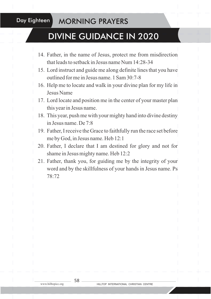### Day Eighteen MORNING PRAYERS

## DIVINE GUIDANCE IN 2020

- 14. Father, in the name of Jesus, protect me from misdirection that leads to setback in Jesus name Num 14:28-34
- 15. Lord instruct and guide me along definite lines that you have outlined for me in Jesus name. 1 Sam 30:7-8
- 16. Help me to locate and walk in your divine plan for my life in Jesus Name
- 17. Lord locate and position me in the center of your master plan this year in Jesus name.
- 18. This year, push me with your mighty hand into divine destiny in Jesus name. De 7:8
- 19. Father, I receive the Grace to faithfully run the race set before me by God, in Jesus name. Heb 12:1
- 20. Father, I declare that I am destined for glory and not for shame in Jesus mighty name. Heb 12:2
- 21. Father, thank you, for guiding me by the integrity of your word and by the skillfulness of your hands in Jesus name. Ps 78:72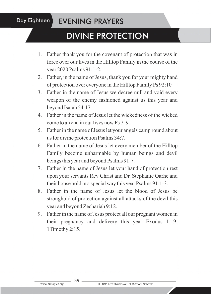#### Day Eighteen **EVENING PRAYERS**

## DIVINE PROTECTION

- 1. Father thank you for the covenant of protection that was in force over our lives in the Hilltop Family in the course of the year 2020 Psalms 91:1-2.
- 2. Father, in the name of Jesus, thank you for your mighty hand of protection over everyone in the Hilltop Family Ps 92:10
- 3. Father in the name of Jesus we decree null and void every weapon of the enemy fashioned against us this year and beyond Isaiah 54:17.
- 4. Father in the name of Jesus let the wickedness of the wicked come to an end in our lives now Ps 7: 9.
- 5. Father in the name of Jesus let your angels camp round about us for divine protection Psalms 34:7.
- 6. Father in the name of Jesus let every member of the Hilltop Family become unharmable by human beings and devil beings this year and beyond Psalms 91:7.
- 7. Father in the name of Jesus let your hand of protection rest upon your servants Rev Christ and Dr. Stephanie Oarhe and their house hold in a special way this year Psalms 91:1-3.
- 8. Father in the name of Jesus let the blood of Jesus be stronghold of protection against all attacks of the devil this year and beyond Zechariah 9:12.
- 9. Father in the name of Jesus protect all our pregnant women in their pregnancy and delivery this year Exodus 1:19; 1Timothy 2:15.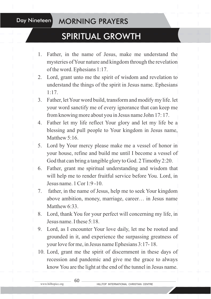#### Day Nineteen MORNING PRAYERS

## SPIRITUAL GROWTH

- 1. Father, in the name of Jesus, make me understand the mysteries of Your nature and kingdom through the revelation of the word. Ephesians 1:17.
- 2. Lord, grant unto me the spirit of wisdom and revelation to understand the things of the spirit in Jesus name. Ephesians 1:17.
- 3. Father, let Your word build, transform and modify my life. let your word sanctify me of every ignorance that can keep me from knowing more about you in Jesus name John 17: 17.
- 4. Father let my life reflect Your glory and let my life be a blessing and pull people to Your kingdom in Jesus name, Matthew 5:16.
- 5. Lord by Your mercy please make me a vessel of honor in your house, refine and build me until I become a vessel of God that can bring a tangible glory to God. 2 Timothy 2:20.
- 6. Father, grant me spiritual understanding and wisdom that will help me to render fruitful service before You. Lord, in Jesus name. 1 Cor 1:9 -10.
- 7. father, in the name of Jesus, help me to seek Your kingdom above ambition, money, marriage, career… in Jesus name Matthew 6:33.
- 8. Lord, thank You for your perfect will concerning my life, in Jesus name. I these  $5:18$ .
- 9. Lord, as I encounter Your love daily, let me be rooted and grounded in it, and experience the surpassing greatness of your love for me, in Jesus name Ephesians 3:17- 18.
- 10. Lord, grant me the spirit of discernment in these days of recession and pandemic and give me the grace to always know You are the light at the end of the tunnel in Jesus name.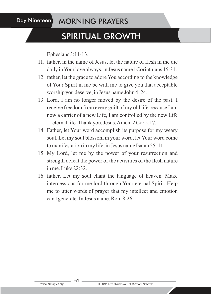#### Day Nineteen MORNING PRAYERS

### SPIRITUAL GROWTH

Ephesians 3:11-13.

- 11. father, in the name of Jesus, let the nature of flesh in me die daily in Your love always, in Jesus name1 Corinthians 15:31.
- 12. father, let the grace to adore You according to the knowledge of Your Spirit in me be with me to give you that acceptable worship you deserve, in Jesus name John 4: 24.
- 13. Lord, I am no longer moved by the desire of the past. I receive freedom from every guilt of my old life because I am now a carrier of a new Life, I am controlled by the new Life —eternal life. Thank you, Jesus. Amen. 2 Cor 5:17.
- 14. Father, let Your word accomplish its purpose for my weary soul. Let my soul blossom in your word, let Your word come to manifestation in my life, in Jesus name Isaiah 55: 11
- 15. My Lord, let me by the power of your resurrection and strength defeat the power of the activities of the flesh nature in me. Luke 22:32.
- 16. father, Let my soul chant the language of heaven. Make intercessions for me lord through Your eternal Spirit. Help me to utter words of prayer that my intellect and emotion can't generate. In Jesus name. Rom 8:26.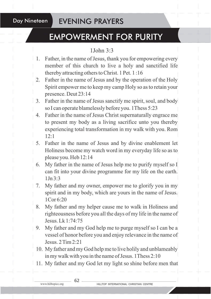Day Nineteen

#### EVENING PRAYERS

## EMPOWERMENT FOR PURITY

#### 1John 3:3

- 1. Father, in the name of Jesus, thank you for empowering every member of this church to live a holy and sanctified life thereby attracting others to Christ. 1 Pet. 1 :16
- 2. Father in the name of Jesus and by the operation of the Holy Spirit empower me to keep my camp Holy so as to retain your presence. Deut 23:14
- 3. Father in the name of Jesus sanctify me spirit, soul, and body so I can operate blamelessly before you. 1Thess 5:23
- 4. Father in the name of Jesus Christ supernaturally engrace me to present my body as a living sacrifice unto you thereby experiencing total transformation in my walk with you. Rom 12:1
- 5. Father in the name of Jesus and by divine enablement let Holiness become my watch word in my everyday life so as to please you. Heb 12:14
	- 6. My father in the name of Jesus help me to purify myself so I can fit into your divine programme for my life on the earth.  $1$  In  $3.3$
- 7. My father and my owner, empower me to glorify you in my spirit and in my body, which are yours in the name of Jesus. 1Cor 6:20
- 8. My father and my helper cause me to walk in Holiness and righteousness before you all the days of my life in the name of Jesus. Lk 1:74:75
- 9. My father and my God help me to purge myself so I can be a vessel of honor before you and enjoy relevance in the name of Jesus. 2 Tim 2:21
- 10. My father and my God help me to live holily and unblameably in my walk with you in the name of Jesus. 1Thess 2:10
- 11. My father and my God let my light so shine before men that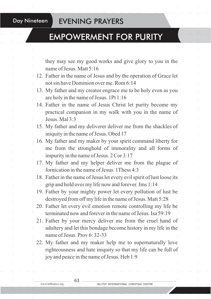Day Nineteen

#### EVENING PRAYERS

## EMPOWERMENT FOR PURITY

they may see my good works and give glory to you in the name of Jesus. Matt 5:16

- 12. Father in the name of Jesus and by the operation of Grace let not sin have Dominion over me. Rom 6:14
- 13. My father and my creator engrace me to be holy even as you are holy in the name of Jesus. 1Pt 1:16
- 14. Father in the name of Jesus Christ let purity become my practical companion in my walk with you in the name of Jesus. Mal 3:3
- 15. My father and my deliverer deliver me from the shackles of iniquity in the name of Jesus. Obed 17
- 16. My father and my maker by your spirit command liberty for me from the stronghold of immorality and all forms of impurity in the name of Jesus. 2 Cor 3:17
- 17. My father and my helper deliver me from the plague of fornication in the name of Jesus. 1Thess 4:3
- 18. Father in the name of Jesus let every evil spirit of lust loose its grip and hold over my life now and forever. Jms 1:14
- 19. Father by your mighty power let every pollution of lust be destroyed from off my life in the name of Jesus. Matt 5:28
- 20. Father let every evil emotion remote controlling my life be terminated now and forever in the name of Jesus. Isa 59:19
- 21. Father by your mercy deliver me from the cruel hand of adultery and let this bondage become history in my life in the name of Jesus. Prov 6: 32-33

22. My father and my maker help me to supernaturally love righteousness and hate iniquity so that my life can be full of joy and peace in the name of Jesus. Heb 1:9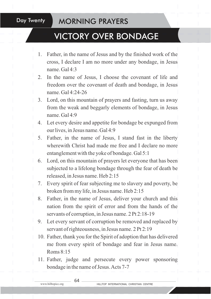#### Day Twenty MORNING PRAYERS

## VICTORY OVER BONDAGE

- 1. Father, in the name of Jesus and by the finished work of the cross, I declare I am no more under any bondage, in Jesus name. Gal 4:3
- 2. In the name of Jesus, I choose the covenant of life and freedom over the covenant of death and bondage, in Jesus name. Gal 4:24-26
- 3. Lord, on this mountain of prayers and fasting, turn us away from the weak and beggarly elements of bondage, in Jesus name. Gal 4:9
- 4. Let every desire and appetite for bondage be expunged from our lives, in Jesus name. Gal 4:9
- 5. Father, in the name of Jesus, I stand fast in the liberty wherewith Christ had made me free and I declare no more entanglement with the yoke of bondage. Gal 5:1
- 6. Lord, on this mountain of prayers let everyone that has been subjected to a lifelong bondage through the fear of death be released, in Jesus name. Heb 2:15
- 7. Every spirit of fear subjecting me to slavery and poverty, be broken from my life, in Jesus name. Heb 2:15
- 8. Father, in the name of Jesus, deliver your church and this nation from the spirit of error and from the hands of the servants of corruption, in Jesus name. 2 Pt 2:18-19
- 9. Let every servant of corruption be removed and replaced by servant of righteousness, in Jesus name. 2 Pt 2:19
- 10. Father, thank you for the Spirit of adoption that has delivered me from every spirit of bondage and fear in Jesus name. Roms 8:15
- 11. Father, judge and persecute every power sponsoring bondage in the name of Jesus. Acts 7-7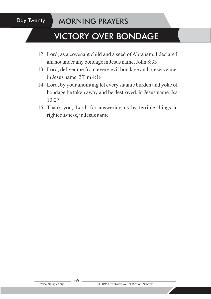#### Day Twenty | MORNING PRAYERS

## VICTORY OVER BONDAGE

- 12. Lord, as a covenant child and a seed of Abraham, I declare I am not under any bondage in Jesus name. John 8:33
- 13. Lord, deliver me from every evil bondage and preserve me, in Jesus name. 2 Tim 4:18
- 14. Lord, by your anointing let every satanic burden and yoke of bondage be taken away and be destroyed, in Jesus name. Isa 10:27
- 15. Thank you, Lord, for answering us by terrible things in righteousness, in Jesus name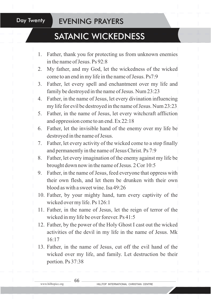#### Day Twenty **EVENING PRAYERS**

## SATANIC WICKEDNESS

- 1. Father, thank you for protecting us from unknown enemies in the name of Jesus. Ps 92:8
- 2. My father, and my God, let the wickedness of the wicked come to an end in my life in the name of Jesus. Ps7:9
- 3. Father, let every spell and enchantment over my life and family be destroyed in the name of Jesus. Num 23:23
- 4. Father, in the name of Jesus, let every divination influencing my life for evil be destroyed in the name of Jesus. Num 23:23
- 5. Father, in the name of Jesus, let every witchcraft affliction and oppression come to an end. Ex 22:18
- 6. Father, let the invisible hand of the enemy over my life be destroyed in the name of Jesus.
- 7. Father, let every activity of the wicked come to a stop finally and permanently in the name of Jesus Christ. Ps 7:9
- 8. Father, let every imagination of the enemy against my life be brought down now in the name of Jesus. 2 Cor 10:5
- 9. Father, in the name of Jesus, feed everyone that oppress with their own flesh, and let them be drunken with their own blood as with a sweet wine. Is  $49.26$
- 10. Father, by your mighty hand, turn every captivity of the wicked over my life. Ps 126:1
- 11. Father, in the name of Jesus, let the reign of terror of the wicked in my life be over forever. Ps 41:5
- 12. Father, by the power of the Holy Ghost I cast out the wicked activities of the devil in my life in the name of Jesus. Mk 16:17
- 13. Father, in the name of Jesus, cut off the evil hand of the wicked over my life, and family. Let destruction be their portion. Ps 37:38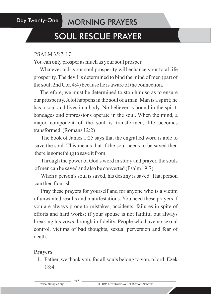## SOUL RESCUE PRAYER

#### PSALM 35:7, 17

You can only prosper as much as your soul prosper.

Whatever aids your soul prosperity will enhance your total life prosperity. The devil is determined to bind the mind of men (part of the soul, 2nd Cor. 4:4) because he is aware of the connection.

Therefore, we must be determined to stop him so as to ensure our prosperity. Alot happens in the soul of a man. Man is a spirit; he has a soul and lives in a body. No believer is bound in the spirit, bondages and oppressions operate in the soul. When the mind, a major component of the soul is transformed, life becomes transformed. (Romans 12:2)

The book of James 1:25 says that the engrafted word is able to save the soul. This means that if the soul needs to be saved then there is something to save it from.

Through the power of God's word in study and prayer, the souls of men can be saved and also be converted (Psalm 19:7)

When a person's soul is saved, his destiny is saved. That person can then flourish.

Pray these prayers for yourself and for anyone who is a victim of unwanted results and manifestations. You need these prayers if you are always prone to mistakes, accidents, failures in spite of efforts and hard works; if your spouse is not faithful but always breaking his vows through in fidelity. People who have no sexual control, victims of bad thoughts, sexual perversion and fear of death.

#### **Prayers**

1. Father, we thank you, for all souls belong to you, o lord. Ezek  $18.4$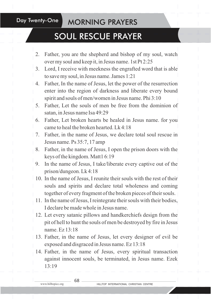## Day Twenty-One MORNING PRAYERS

## SOUL RESCUE PRAYER

- 2. Father, you are the shepherd and bishop of my soul, watch over my soul and keep it, in Jesus name. 1st Pt 2:25
- 3. Lord, I receive with meekness the engrafted word that is able to save my soul, in Jesus name. James 1:21
- 4. Father, In the name of Jesus, let the power of the resurrection enter into the region of darkness and liberate every bound spirit and souls of men/women in Jesus name. Phi 3:10
- 5. Father, Let the souls of men be free from the dominion of satan, in Jesus name Isa 49:29
- 6. Father, Let broken hearts be healed in Jesus name. for you came to heal the broken hearted. Lk  $4.18$
- 7. Father, in the name of Jesus, we declare total soul rescue in Jesus name. Ps 35:7, 17 amp
	- 8. Father, in the name of Jesus, I open the prison doors with the keys of the kingdom. Matt1 6:19
	- 9. In the name of Jesus, I take/liberate every captive out of the prison/dungeon. Lk 4:18
- 10. In the name of Jesus, I reunite their souls with the rest of their souls and spirits and declare total wholeness and coming together of every fragment of the broken pieces of their souls.
- 11. In the name of Jesus, I reintegrate their souls with their bodies, I declare be made whole in Jesus name.
- 12. Let every satanic pillows and handkerchiefs design from the pit of hell to hunt the souls of men be destroyed by fire in Jesus name. Ez 13:18
- 13. Father, in the name of Jesus, let every designer of evil be exposed and disgraced in Jesus name. Ez 13:18
	- 14. Father, in the name of Jesus, every spiritual transaction against innocent souls, be terminated, in Jesus name. Ezek 13:19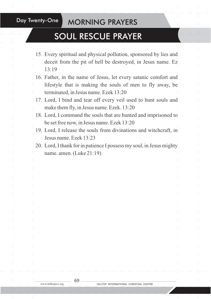## Day Twenty-One MORNING PRAYERS

## SOUL RESCUE PRAYER

- 15. Every spiritual and physical pollution, sponsored by lies and deceit from the pit of hell be destroyed, in Jesus name. Ez  $13.19$
- 16. Father, in the name of Jesus, let every satanic comfort and lifestyle that is making the souls of men to fly away, be terminated, in Jesus name. Ezek 13:20
- 17. Lord, I bind and tear off every veil used to hunt souls and make them fly, in Jesus name. Ezek. 13:20
- 18. Lord, I command the souls that are hunted and imprisoned to be set free now, in Jesus name. Ezek 13:20
- 19. Lord, I release the souls from divinations and witchcraft, in Jesus name. Ezek 13:23
- 20. Lord, I thank for in patience I possess my soul, in Jesus mighty name. amen. (Luke 21:19)

6C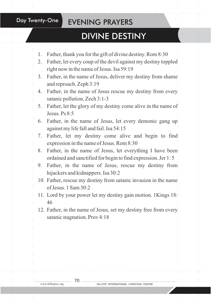## Day Twenty-One **EVENING PRAYERS**

## DIVINE DESTINY

- 1. Father, thank you for the gift of divine destiny. Rom 8:30 2. Father, let every coup of the devil against my destiny toppled right now in the name of Jesus. Isa 59:19 3. Father, in the name of Jesus, deliver my destiny from shame
	- and reproach. Zeph 3:19
- 4. Father, in the name of Jesus rescue my destiny from every satanic pollution. Zech 3:1-3
- 5. Father, let the glory of my destiny come alive in the name of Jesus. Ps  $8.5$
- 6. Father, in the name of Jesus, let every demonic gang up against my life fall and fail. Isa 54:15
- 7. Father, let my destiny come alive and begin to find expression in the name of Jesus. Rom 8:30
- 8. Father, in the name of Jesus, let everything I have been ordained and sanctified for begin to find expression. Jer 1: 5
- 9. Father, in the name of Jesus, rescue my destiny from hijackers and kidnappers. Isa 30:2
- 10. Father, rescue my destiny from satanic invasion in the name of Jesus. 1 Sam 30:2
- 11. Lord by your power let my destiny gain motion. 1Kings 18: 46
- 12. Father, in the name of Jesus, set my destiny free from every satanic stagnation. Prov 4:18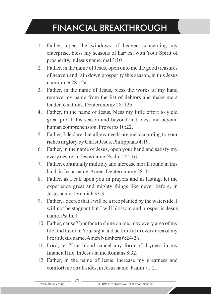## FINANCIAL BREAKTHROUGH

- Father, open the windows of heaven concerning enterprise, bless my seasons of harvest with Your Spirit of prosperity, in Jesus name. mal 3:10
- 2. Father, in the name of Jesus, open unto me the good treasures of heaven and rain down prosperity this season, in this Jesus name. duet 28:12a
- 3. Father, in the name of Jesus, bless the works of my hand remove my name from the list of debtors and make me a lender to nations. Deuteronomy 28: 12b
- 4. Father, in the name of Jesus, bless my little effort to yield great profit this season and beyond and bless me beyond human comprehension. Proverbs 10:22.
- 5. Father, I declare that all my needs are met according to your riches in glory by Christ Jesus. Philippians 4:19.
- 6. Father, in the name of Jesus, open your hand and satisfy my every desire, in Jesus name. Psalm 145:16.
- 7. Father, continually multiply and increase me all round in this land, in Jesus name. Amen. Deuteronomy 28: 11.
- 8. Father, as I call upon you in prayers and in fasting, let me experience great and mighty things like never before, in Jesus name. Jeremiah 33:3.
- 9. Father, I decree that I will be a tree planted by the waterside. I will not be stagnant but I will blossom and prosper in Jesus. name. Psalm 1
- 10. Father, cause Your face to shine on me, may every area of my life find favor in Your sight and be fruitful in every area of my life in Jesus name. Amen Numbers 6:24-26.
- 11. Lord, let Your blood cancel any form of dryness in my financial life. In Jesus name Romans 8:32.
- 12. Father, in the name of Jesus, increase my greatness and comfort me on all sides, in Jesus name. Psalm 71:21.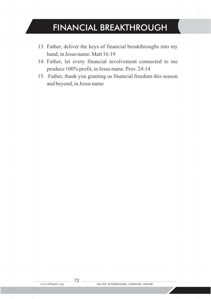## FINANCIAL BREAKTHROUGH

- 13. Father, deliver the keys of financial breakthroughs into my hand, in Jesus name. Matt 16:19
- 14. Father, let every financial involvement connected to me produce 100% profit, in Jesus name. Prov. 24:14
- 15. Father, thank you granting us financial freedom this season and beyond, in Jesus name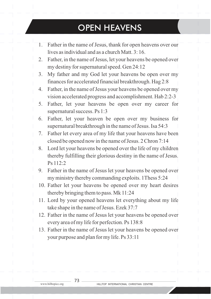# OPEN HEAVENS

- $\overline{\phantom{a}}$  Father in the name of Jesus, thank for open heavens over our lives as individual and as a church Matt. 3: 16.
- 2. Father, in the name of Jesus, let your heavens be opened over my destiny for supernatural speed. Gen 24:12
- 3. My father and my God let your heavens be open over my finances for accelerated financial breakthrough. Hag 2:8
- 4. Father, in the name of Jesus your heavens be opened over my vision accelerated progress and accomplishment. Hab 2:2-3
- 5. Father, let your heavens be open over my career for supernatural success. Ps 1:3
- 6. Father, let your heaven be open over my business for supernatural breakthrough in the name of Jesus. Isa 54:3
- 7. Father let every area of my life that your heavens have been closed be opened now in the name of Jesus. 2 Chron 7:14
- 8. Lord let your heavens be opened over the life of my children thereby fulfilling their glorious destiny in the name of Jesus. Ps 112:2
- 9. Father in the name of Jesus let your heavens be opened over my ministry thereby commanding exploits. 1Thess 5:24
- 10. Father let your heavens be opened over my heart desires thereby bringing them to pass. Mk 11:24
- 11. Lord by your opened heavens let everything about my life take shape in the name of Jesus. Ezek 37:7
- 12. Father in the name of Jesus let your heavens be opened over every area of my life for perfection. Ps 138:8
- 13. Father in the name of Jesus let your heavens be opened over your purpose and plan for my life. Ps 33:11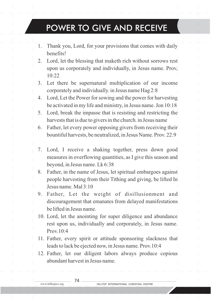# POWER TO GIVE AND RECEIVE

- Thank you, Lord, for your provisions that comes with daily benefits!
- 2. Lord, let the blessing that maketh rich without sorrows rest upon us corporately and individually, in Jesus name. Prov, 10:22
- 3. Let there be supernatural multiplication of our income corporately and individually. in Jesus name Hag 2:8
- 4. Lord, Let the Power for sowing and the power for harvesting be activated in my life and ministry, in Jesus name. Jon 10:18
- 5. Lord, break the impasse that is resisting and restricting the harvests that is due to givers in the church. in Jesus name
- 6. Father, let every power opposing givers from receiving their bountiful harvests, be neutralized, in Jesus Name. Prov. 22:9
- 7. Lord, I receive a shaking together, press down good measures in overflowing quantities, as I give this season and beyond, in Jesus name. Lk 6:38
- 8. Father, in the name of Jesus, let spiritual embargoes against people harvesting from their Tithing and giving, be lifted In Jesus name. Mal 3:10
- 9. Father, Let the weight of disillusionment and discouragement that emanates from delayed manifestations be lifted in Jesus name.
- 10. Lord, let the anointing for super diligence and abundance rest upon us, individually and corporately, in Jesus name. Prov.10:4
- 11. Father, every spirit or attitude sponsoring slackness that leads to lack be ejected now, in Jesus name. Prov.10:4
- 12. Father, let our diligent labors always produce copious abundant harvest in Jesus name.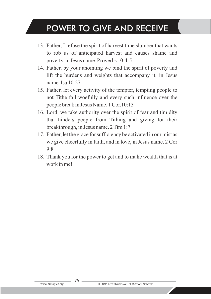## POWER TO GIVE AND RECEIVE

- 13. Father, I refuse the spirit of harvest time slumber that wants to rob us of anticipated harvest and causes shame and poverty, in Jesus name. Proverbs 10:4-5
- 14. Father, by your anointing we bind the spirit of poverty and lift the burdens and weights that accompany it, in Jesus name. Isa 10:27
- 15. Father, let every activity of the tempter, tempting people to not Tithe fail woefully and every such influence over the people break in Jesus Name. 1 Cor.10:13
- 16. Lord, we take authority over the spirit of fear and timidity that hinders people from Tithing and giving for their breakthrough, in Jesus name. 2 Tim 1:7
- 17. Father, let the grace for sufficiency be activated in our mist as we give cheerfully in faith, and in love, in Jesus name, 2 Cor  $9.8$
- 18. Thank you for the power to get and to make wealth that is at work in me!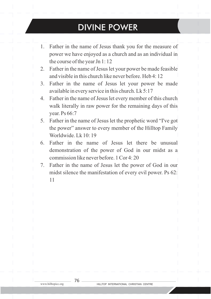#### DIVINE POWER

- Father in the name of Jesus thank you for the measure of power we have enjoyed as a church and as an individual in the course of the year Jn 1: 12
- 2. Father in the name of Jesus let your power be made feasible and visible in this church like never before. Heb 4: 12
- 3. Father in the name of Jesus let your power be made available in every service in this church. Lk 5:17
- 4. Father in the name of Jesus let every member of this church walk literally in raw power for the remaining days of this year. Ps 66:7
- 5. Father in the name of Jesus let the prophetic word "I've got the power" answer to every member of the Hilltop Family Worldwide. Lk 10: 19
- 6. Father in the name of Jesus let there be unusual demonstration of the power of God in our midst as a commission like never before. 1 Cor 4: 20
- 7. Father in the name of Jesus let the power of God in our midst silence the manifestation of every evil power. Ps 62: 11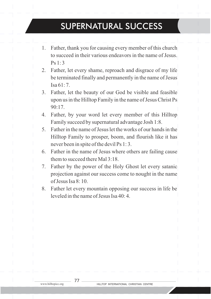# SUPERNATURAL SUCCESS

- 1. Father, thank you for causing every member of this church to succeed in their various endeavors in the name of Jesus.  $Ps 1:3$
- 2. Father, let every shame, reproach and disgrace of my life be terminated finally and permanently in the name of Jesus<sup>1</sup>  $Isa 61:7.$
- 3. Father, let the beauty of our God be visible and feasible upon us in the Hilltop Family in the name of Jesus Christ Ps 90:17.
- 4. Father, by your word let every member of this Hilltop Family succeed by supernatural advantage Josh 1:8.
- 5. Father in the name of Jesus let the works of our hands in the Hilltop Family to prosper, boom, and flourish like it has never been in spite of the devil Ps 1: 3.
- 6. Father in the name of Jesus where others are failing cause them to succeed there Mal 3:18.
- 7. Father by the power of the Holy Ghost let every satanic projection against our success come to nought in the name of Jesus Isa 8: 10.
- 8. Father let every mountain opposing our success in life be leveled in the name of Jesus Isa  $40.4$ .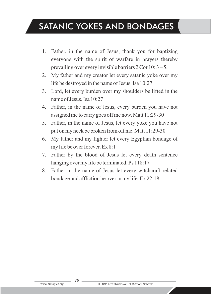# SATANIC YOKES AND BONDAGES

1. Father, in the name of Jesus, thank you for bantizing everyone with the spirit of warfare in prayers thereby prevailing over every invisible barriers  $2$  Cor  $10:3-5$ . 2. My father and my creator let every satanic yoke over my life be destroyed in the name of Jesus. Isa 10:27 3. Lord, let every burden over my shoulders be lifted in the name of Jesus. Isa 10:27 4. Father, in the name of Jesus, every burden you have not assigned me to carry goes off me now. Matt 11:29-30 5. Father, in the name of Jesus, let every yoke you have not put on my neck be broken from off me. Matt 11:29-30 6. My father and my fighter let every Egyptian bondage of my life be over forever. Ex 8:1 7. Father by the blood of Jesus let every death sentence hanging over my life be terminated. Ps 118:17 8. Father in the name of Jesus let every witchcraft related bondage and affliction be over in my life. Ex 22:18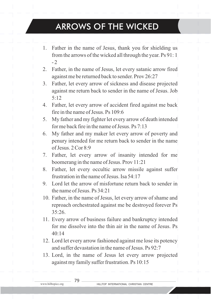## ARROWS OF THE WICKED

- 1. Father in the name of Jesus, thank you for shielding us from the arrows of the wicked all through the year. Ps 91: 1  $-2$
- 2. Father, in the name of Jesus, let every satanic arrow fired against me be returned back to sender. Prov 26:27
- 3. Father, let every arrow of sickness and disease projected against me return back to sender in the name of Jesus. Job  $5.12$
- 4. Father, let every arrow of accident fired against me back fire in the name of Jesus. Ps 109:6
- 5. My father and my fighter let every arrow of death intended for me back fire in the name of Jesus. Ps 7:13
- 6. My father and my maker let every arrow of poverty and penury intended for me return back to sender in the name of Jesus. 2 Cor 8:9
- 7. Father, let every arrow of insanity intended for me boomerang in the name of Jesus. Prov 11:21
- 8. Father, let every occultic arrow missile against suffer frustration in the name of Jesus. Isa 54:17
- 9. Lord let the arrow of misfortune return back to sender in the name of Jesus.  $Ps 34.21$
- 10. Father, in the name of Jesus, let every arrow of shame and reproach orchestrated against me be destroyed forever Ps  $35.26$
- 11. Every arrow of business failure and bankruptcy intended for me dissolve into the thin air in the name of Jesus. Ps  $40.14$
- 12. Lord let every arrow fashioned against me lose its potency and suffer devastation in the name of Jesus. Ps  $92.7$
- 13. Lord, in the name of Jesus let every arrow projected against my family suffer frustration. Ps 10:15